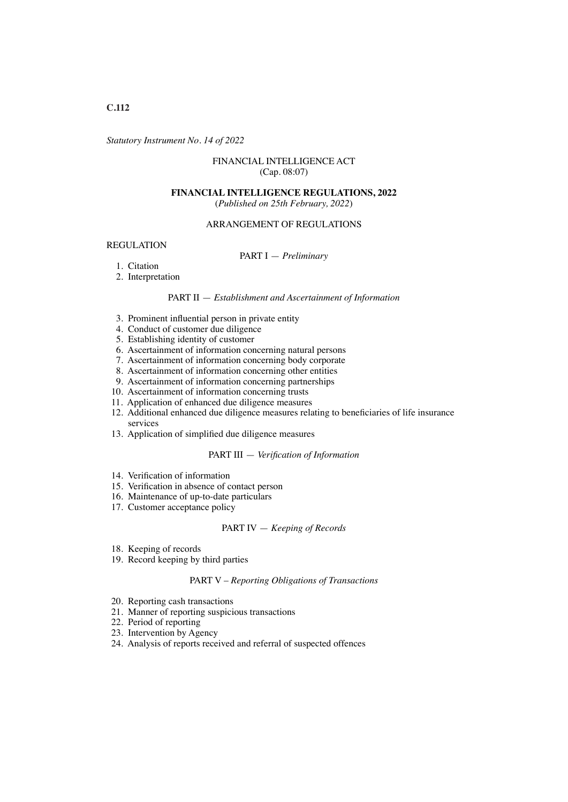*Statutory Instrument No. 14 of 2022*

## FINANCIAL INTELLIGENCE ACT (Cap. 08:07)

# **FINANCIAL INTELLIGENCE REGULATIONS, 2022**

(*Published on 25th February, 2022*)

## ARRANGEMENT OF REGULATIONS

#### REGULATION

## PART I — *Preliminary*

- 1. Citation
- 2. Interpretation

## PART II — *Establishment and Ascertainment of Information*

- 3. Prominent infuential person in private entity
- 4. Conduct of customer due diligence
- 5. Establishing identity of customer
- 6. Ascertainment of information concerning natural persons
- 7. Ascertainment of information concerning body corporate
- 8. Ascertainment of information concerning other entities
- 9. Ascertainment of information concerning partnerships
- 10. Ascertainment of information concerning trusts
- 11. Application of enhanced due diligence measures
- 12. Additional enhanced due diligence measures relating to benefciaries of life insurance services
- 13. Application of simplifed due diligence measures

### PART III — *Verifcation of Information*

- 14. Verifcation of information
- 15. Verifcation in absence of contact person
- 16. Maintenance of up-to-date particulars
- 17. Customer acceptance policy

## PART IV — *Keeping of Records*

- 18. Keeping of records
- 19. Record keeping by third parties

#### PART V – *Reporting Obligations of Transactions*

- 20. Reporting cash transactions
- 21. Manner of reporting suspicious transactions
- 22. Period of reporting
- 23. Intervention by Agency
- 24. Analysis of reports received and referral of suspected offences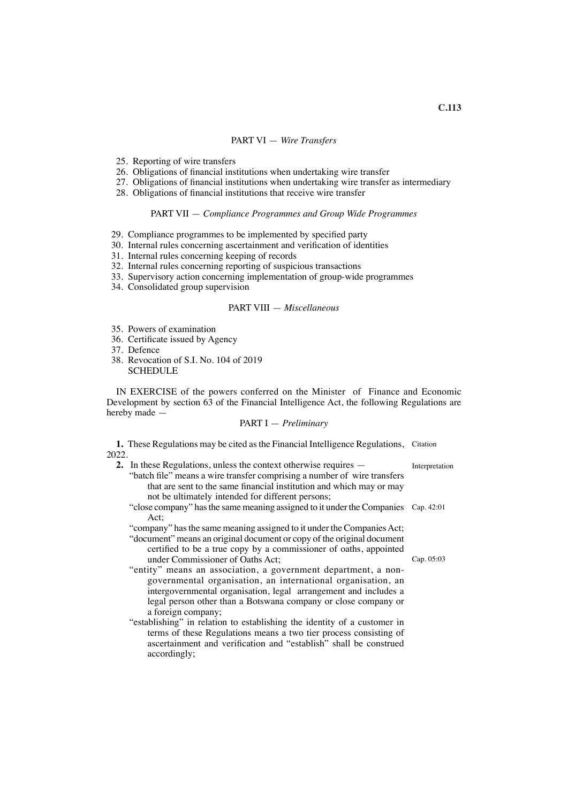## PART VI — *Wire Transfers*

- 25. Reporting of wire transfers
- 26. Obligations of fnancial institutions when undertaking wire transfer
- 27. Obligations of fnancial institutions when undertaking wire transfer as intermediary
- 28. Obligations of fnancial institutions that receive wire transfer

### PART VII — *Compliance Programmes and Group Wide Programmes*

- 29. Compliance programmes to be implemented by specifed party
- 30. Internal rules concerning ascertainment and verifcation of identities
- 31. Internal rules concerning keeping of records
- 32. Internal rules concerning reporting of suspicious transactions
- 33. Supervisory action concerning implementation of group-wide programmes
- 34. Consolidated group supervision

### PART VIII — *Miscellaneous*

- 35. Powers of examination
- 36. Certifcate issued by Agency
- 37. Defence
- 38. Revocation of S.I. No. 104 of 2019 **SCHEDULE**

IN EXERCISE of the powers conferred on the Minister of Finance and Economic Development by section 63 of the Financial Intelligence Act, the following Regulations are hereby made —

### PART I — *Preliminary*

**1.** These Regulations may be cited as the Financial Intelligence Regulations, Citation 2022.

| 2. In these Regulations, unless the context otherwise requires —                   | Interpretation |
|------------------------------------------------------------------------------------|----------------|
| "batch file" means a wire transfer comprising a number of wire transfers           |                |
| that are sent to the same financial institution and which may or may               |                |
| not be ultimately intended for different persons;                                  |                |
| "close company" has the same meaning assigned to it under the Companies Cap. 42:01 |                |
| Act:                                                                               |                |
| "company" has the same meaning assigned to it under the Companies Act;             |                |
| "document" means an original document or copy of the original document             |                |
| certified to be a true copy by a commissioner of oaths, appointed                  |                |
| under Commissioner of Oaths Act;                                                   | Cap. 05:03     |
| "entity" means an association, a government department, a non-                     |                |
| governmental organisation, an international organisation, an                       |                |
| intergovernmental organisation, legal arrangement and includes a                   |                |
| legal person other than a Botswana company or close company or                     |                |
| a foreign company;                                                                 |                |
|                                                                                    |                |

"establishing" in relation to establishing the identity of a customer in terms of these Regulations means a two tier process consisting of ascertainment and verifcation and "establish" shall be construed accordingly;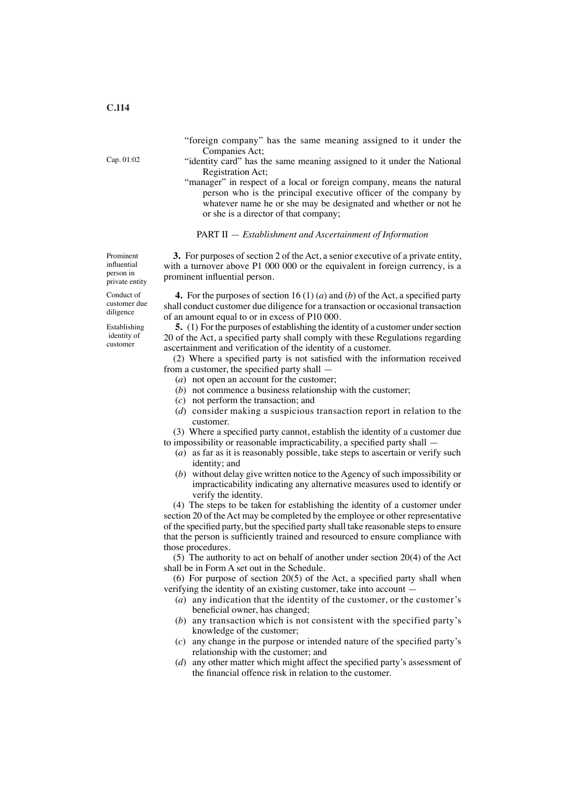"foreign company" has the same meaning assigned to it under the Companies Act;

- "identity card" has the same meaning assigned to it under the National Registration Act;
- "manager" in respect of a local or foreign company, means the natural person who is the principal executive offcer of the company by whatever name he or she may be designated and whether or not he or she is a director of that company;

#### PART II — *Establishment and Ascertainment of Information*

**3.** For purposes of section 2 of the Act, a senior executive of a private entity, with a turnover above P1 000 000 or the equivalent in foreign currency, is a prominent infuential person.

**4.** For the purposes of section 16 (1) (*a*) and (*b*) of the Act, a specifed party shall conduct customer due diligence for a transaction or occasional transaction of an amount equal to or in excess of P10 000.

**5.** (1) For the purposes of establishing the identity of a customer under section 20 of the Act, a specifed party shall comply with these Regulations regarding ascertainment and verifcation of the identity of a customer.

(2) Where a specifed party is not satisfed with the information received from a customer, the specifed party shall —

- (*a*) not open an account for the customer;
- (*b*) not commence a business relationship with the customer;
- (*c*) not perform the transaction; and
- (*d*) consider making a suspicious transaction report in relation to the customer.

(3) Where a specifed party cannot, establish the identity of a customer due to impossibility or reasonable impracticability, a specifed party shall —

- (*a*) as far as it is reasonably possible, take steps to ascertain or verify such identity; and
- (*b*) without delay give written notice to the Agency of such impossibility or impracticability indicating any alternative measures used to identify or verify the identity.

(4) The steps to be taken for establishing the identity of a customer under section 20 of the Act may be completed by the employee or other representative of the specified party, but the specified party shall take reasonable steps to ensure that the person is sufficiently trained and resourced to ensure compliance with those procedures.

(5) The authority to act on behalf of another under section 20(4) of the Act shall be in Form A set out in the Schedule.

(6) For purpose of section  $20(5)$  of the Act, a specified party shall when verifying the identity of an existing customer, take into account —

- (*a*) any indication that the identity of the customer, or the customer's beneficial owner, has changed;
- (*b*) any transaction which is not consistent with the specified party's knowledge of the customer;
- (*c*) any change in the purpose or intended nature of the specifed party's relationship with the customer; and
- (*d*) any other matter which might affect the specifed party's assessment of the fnancial offence risk in relation to the customer.

Cap. 01:02

person in private entity Conduct of customer due

Prominent infuential

diligence Establishing identity of

customer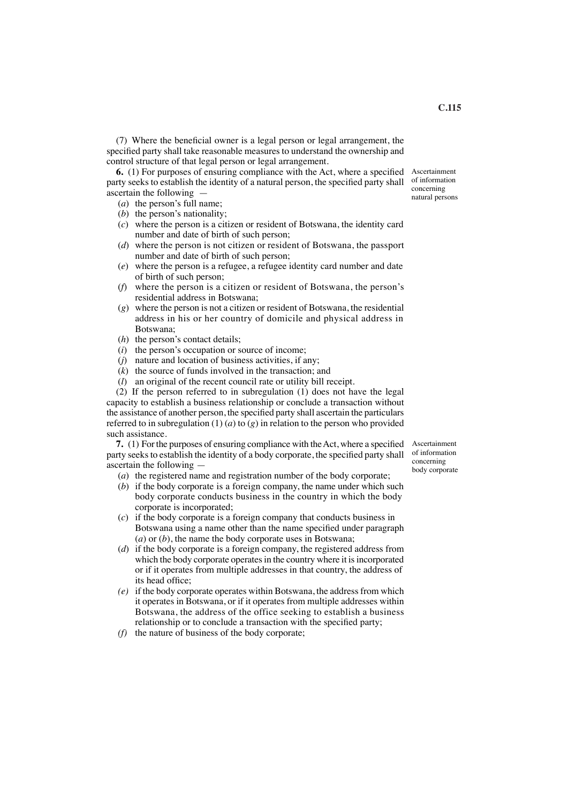(7) Where the benefcial owner is a legal person or legal arrangement, the specifed party shall take reasonable measures to understand the ownership and control structure of that legal person or legal arrangement.

**6.** (1) For purposes of ensuring compliance with the Act, where a specifed party seeks to establish the identity of a natural person, the specifed party shall ascertain the following —

- (*a*) the person's full name;
- (*b*) the person's nationality;
- (*c*) where the person is a citizen or resident of Botswana, the identity card number and date of birth of such person;
- (*d*) where the person is not citizen or resident of Botswana, the passport number and date of birth of such person;
- (*e*) where the person is a refugee, a refugee identity card number and date of birth of such person;
- (*f*) where the person is a citizen or resident of Botswana, the person's residential address in Botswana;
- (*g*) where the person is not a citizen or resident of Botswana, the residential address in his or her country of domicile and physical address in Botswana;
- (*h*) the person's contact details;
- (*i*) the person's occupation or source of income;
- (*j*) nature and location of business activities, if any;
- (*k*) the source of funds involved in the transaction; and
- (*l*) an original of the recent council rate or utility bill receipt.

(2) If the person referred to in subregulation (1) does not have the legal capacity to establish a business relationship or conclude a transaction without the assistance of another person, the specifed party shall ascertain the particulars referred to in subregulation  $(1)$   $(a)$  to  $(g)$  in relation to the person who provided such assistance.

**7.** (1) For the purposes of ensuring compliance with the Act, where a specified party seeks to establish the identity of a body corporate, the specified party shall ascertain the following —

- (*a*) the registered name and registration number of the body corporate;
- (*b*) if the body corporate is a foreign company, the name under which such body corporate conducts business in the country in which the body corporate is incorporated;
- (*c*) if the body corporate is a foreign company that conducts business in Botswana using a name other than the name specifed under paragraph (*a*) or (*b*), the name the body corporate uses in Botswana;
- (*d*) if the body corporate is a foreign company, the registered address from which the body corporate operates in the country where it is incorporated or if it operates from multiple addresses in that country, the address of its head office:
- *(e)* if the body corporate operates within Botswana, the address from which it operates in Botswana, or if it operates from multiple addresses within Botswana, the address of the office seeking to establish a business relationship or to conclude a transaction with the specifed party;
- *(f)* the nature of business of the body corporate;

Ascertainment of information concerning body corporate

Ascertainment of information concerning natural persons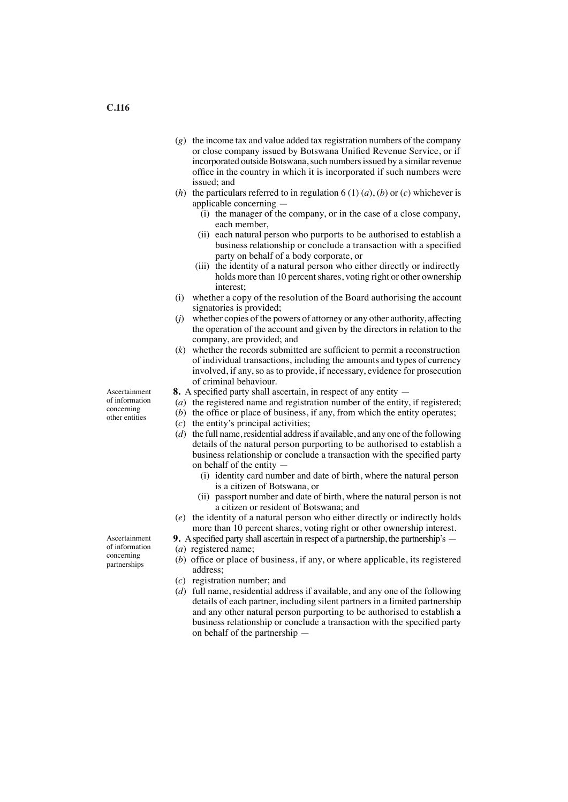- (*g*) the income tax and value added tax registration numbers of the company or close company issued by Botswana Unifed Revenue Service, or if incorporated outside Botswana, such numbers issued by a similar revenue office in the country in which it is incorporated if such numbers were issued; and
- (*h*) the particulars referred to in regulation 6 (1) (*a*), (*b*) or (*c*) whichever is applicable concerning —
	- (i) the manager of the company, or in the case of a close company, each member,
	- (ii) each natural person who purports to be authorised to establish a business relationship or conclude a transaction with a specifed party on behalf of a body corporate, or
	- (iii) the identity of a natural person who either directly or indirectly holds more than 10 percent shares, voting right or other ownership interest;
- (i) whether a copy of the resolution of the Board authorising the account signatories is provided;
- (*j*) whether copies of the powers of attorney or any other authority, affecting the operation of the account and given by the directors in relation to the company, are provided; and
- $(k)$  whether the records submitted are sufficient to permit a reconstruction of individual transactions, including the amounts and types of currency involved, if any, so as to provide, if necessary, evidence for prosecution of criminal behaviour.
- **8.** A specifed party shall ascertain, in respect of any entity —
- (*a*) the registered name and registration number of the entity, if registered;
- $(b)$  the office or place of business, if any, from which the entity operates;
	- (*c*) the entity's principal activities;
	- (*d*) the full name, residential address if available, and any one of the following details of the natural person purporting to be authorised to establish a business relationship or conclude a transaction with the specifed party on behalf of the entity —
		- (i) identity card number and date of birth, where the natural person is a citizen of Botswana, or
		- (ii) passport number and date of birth, where the natural person is not a citizen or resident of Botswana; and
	- (*e*) the identity of a natural person who either directly or indirectly holds more than 10 percent shares, voting right or other ownership interest.
- **9.** Aspecifed party shall ascertain in respect of a partnership, the partnership's —
- (*a*) registered name;
- (*b*) office or place of business, if any, or where applicable, its registered address;
- (*c*) registration number; and
- (*d*) full name, residential address if available, and any one of the following details of each partner, including silent partners in a limited partnership and any other natural person purporting to be authorised to establish a business relationship or conclude a transaction with the specifed party on behalf of the partnership —

Ascertainment of information concerning other entities

Ascertainment of information concerning partnerships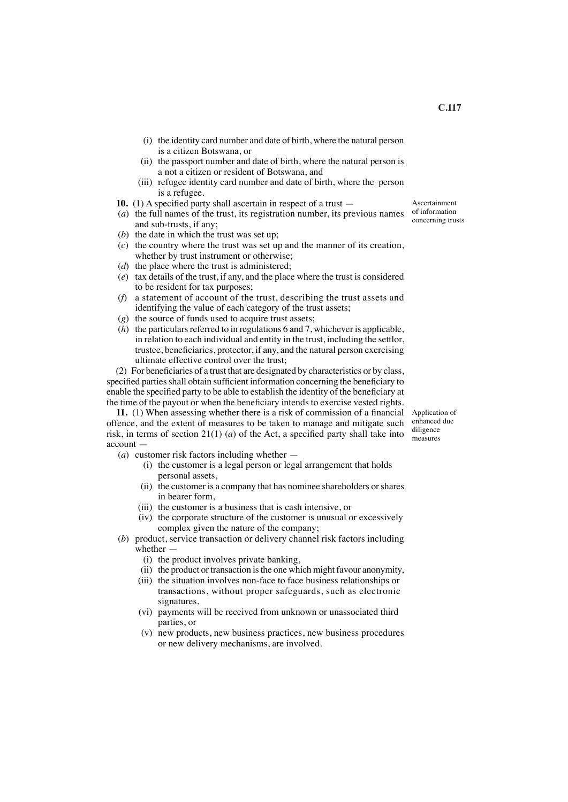- (i) the identity card number and date of birth, where the natural person is a citizen Botswana, or
- (ii) the passport number and date of birth, where the natural person is a not a citizen or resident of Botswana, and
- (iii) refugee identity card number and date of birth, where the person is a refugee.
- **10.** (1) A specifed party shall ascertain in respect of a trust —
- (*a*) the full names of the trust, its registration number, its previous names and sub-trusts, if any;
- (*b*) the date in which the trust was set up;
- (*c*) the country where the trust was set up and the manner of its creation, whether by trust instrument or otherwise;
- (*d*) the place where the trust is administered;
- (*e*) tax details of the trust, if any, and the place where the trust is considered to be resident for tax purposes;
- (*f*) a statement of account of the trust, describing the trust assets and identifying the value of each category of the trust assets;
- (*g*) the source of funds used to acquire trust assets;
- (*h*) the particulars referred to in regulations 6 and 7, whichever is applicable, in relation to each individual and entity in the trust, including the settlor, trustee, benefciaries, protector, if any, and the natural person exercising ultimate effective control over the trust;

(2) For benefciaries of a trust that are designated by characteristics or by class, specified parties shall obtain sufficient information concerning the beneficiary to enable the specifed party to be able to establish the identity of the benefciary at the time of the payout or when the benefciary intends to exercise vested rights.

**11.** (1) When assessing whether there is a risk of commission of a fnancial offence, and the extent of measures to be taken to manage and mitigate such risk, in terms of section 21(1) (*a*) of the Act, a specified party shall take into account —

- (*a*) customer risk factors including whether
	- (i) the customer is a legal person or legal arrangement that holds personal assets,
	- (ii) the customer is a company that has nominee shareholders or shares in bearer form,
	- (iii) the customer is a business that is cash intensive, or
	- (iv) the corporate structure of the customer is unusual or excessively complex given the nature of the company;
- (*b*) product, service transaction or delivery channel risk factors including whether —
	- (i) the product involves private banking,
	- (ii) the product or transaction is the one which might favour anonymity,
	- (iii) the situation involves non-face to face business relationships or transactions, without proper safeguards, such as electronic signatures,
	- (vi) payments will be received from unknown or unassociated third parties, or
	- (v) new products, new business practices, new business procedures or new delivery mechanisms, are involved.

Application of enhanced due diligence measures

Ascertainment of information concerning trusts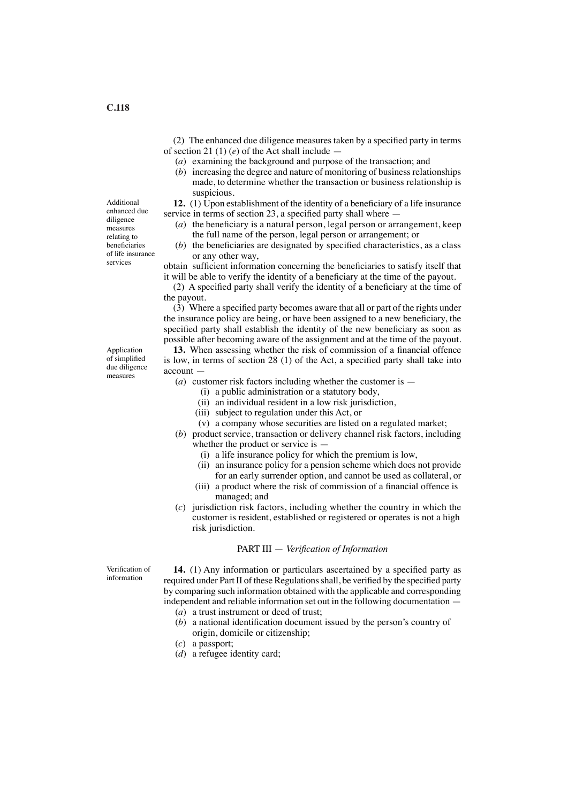(2) The enhanced due diligence measures taken by a specifed party in terms of section 21 (1) (*e*) of the Act shall include —

- (*a*) examining the background and purpose of the transaction; and
- (*b*) increasing the degree and nature of monitoring of business relationships made, to determine whether the transaction or business relationship is suspicious.

**12.** (1) Upon establishment of the identity of a beneficiary of a life insurance service in terms of section 23, a specified party shall where —

- (*a*) the benefciary is a natural person, legal person or arrangement, keep the full name of the person, legal person or arrangement; or
- (*b*) the benefciaries are designated by specifed characteristics, as a class or any other way,

obtain suffcient information concerning the benefciaries to satisfy itself that it will be able to verify the identity of a benefciary at the time of the payout.

(2) A specifed party shall verify the identity of a benefciary at the time of the payout.

(3) Where a specifed party becomes aware that all or part of the rights under the insurance policy are being, or have been assigned to a new benefciary, the specifed party shall establish the identity of the new benefciary as soon as possible after becoming aware of the assignment and at the time of the payout.

**13.** When assessing whether the risk of commission of a fnancial offence is low, in terms of section 28 (1) of the Act, a specifed party shall take into account —

(*a*) customer risk factors including whether the customer is —

- (i) a public administration or a statutory body,
- (ii) an individual resident in a low risk jurisdiction,
- (iii) subject to regulation under this Act, or
- (v) a company whose securities are listed on a regulated market;
- (*b*) product service, transaction or delivery channel risk factors, including whether the product or service is  $-$ 
	- (i) a life insurance policy for which the premium is low,
	- (ii) an insurance policy for a pension scheme which does not provide for an early surrender option, and cannot be used as collateral, or
	- (iii) a product where the risk of commission of a fnancial offence is managed; and
- (*c*) jurisdiction risk factors, including whether the country in which the customer is resident, established or registered or operates is not a high risk jurisdiction.

### PART III — *Verifcation of Information*

Verifcation of information

**14.** (1) Any information or particulars ascertained by a specifed party as required under Part II of these Regulationsshall, be verifed by the specifed party by comparing such information obtained with the applicable and corresponding independent and reliable information set out in the following documentation — (*a*) a trust instrument or deed of trust;

- (*b*) a national identifcation document issued by the person's country of origin, domicile or citizenship;
- (*c*) a passport;
- (*d*) a refugee identity card;

Additional enhanced due diligence measures relating to beneficiaries of life insurance services

Application of simplifed due diligence measures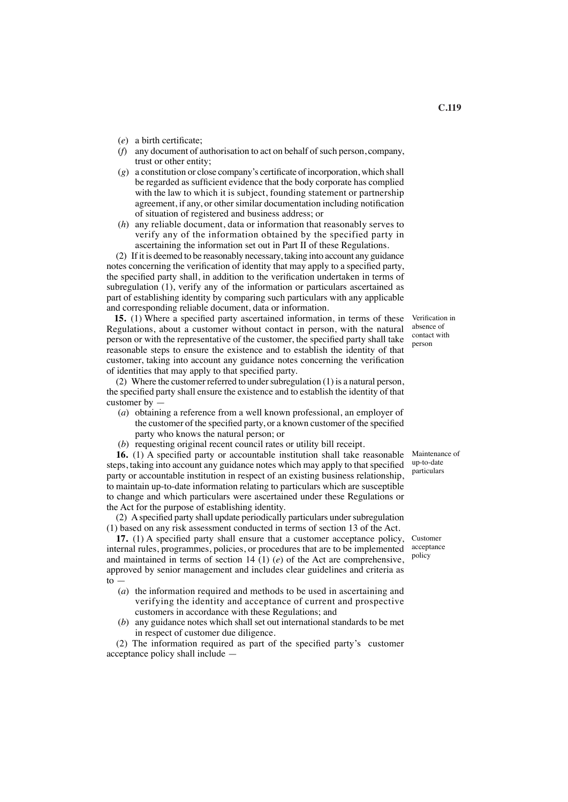- (*e*) a birth certifcate;
- (*f*) any document of authorisation to act on behalf of such person, company, trust or other entity;
- $(g)$  a constitution or close company's certificate of incorporation, which shall be regarded as suffcient evidence that the body corporate has complied with the law to which it is subject, founding statement or partnership agreement, if any, or other similar documentation including notifcation of situation of registered and business address; or
- (*h*) any reliable document, data or information that reasonably serves to verify any of the information obtained by the specified party in ascertaining the information set out in Part II of these Regulations.

(2) If it is deemed to be reasonably necessary, taking into account any guidance notes concerning the verifcation of identity that may apply to a specifed party, the specifed party shall, in addition to the verifcation undertaken in terms of subregulation (1), verify any of the information or particulars ascertained as part of establishing identity by comparing such particulars with any applicable and corresponding reliable document, data or information.

**15.** (1) Where a specifed party ascertained information, in terms of these Regulations, about a customer without contact in person, with the natural person or with the representative of the customer, the specifed party shall take reasonable steps to ensure the existence and to establish the identity of that customer, taking into account any guidance notes concerning the verifcation of identities that may apply to that specifed party.

(2) Where the customer referred to under subregulation (1) is a natural person, the specifed party shall ensure the existence and to establish the identity of that customer by —

- (*a*) obtaining a reference from a well known professional, an employer of the customer of the specifed party, or a known customer of the specifed party who knows the natural person; or
- (*b*) requesting original recent council rates or utility bill receipt.

**16.** (1) A specifed party or accountable institution shall take reasonable steps, taking into account any guidance notes which may apply to that specifed party or accountable institution in respect of an existing business relationship, to maintain up-to-date information relating to particulars which are susceptible to change and which particulars were ascertained under these Regulations or the Act for the purpose of establishing identity.

(2) Aspecifed party shall update periodically particulars undersubregulation (1) based on any risk assessment conducted in terms of section 13 of the Act.

**17.** (1) A specifed party shall ensure that a customer acceptance policy, internal rules, programmes, policies, or procedures that are to be implemented and maintained in terms of section 14 (1) (*e*) of the Act are comprehensive, approved by senior management and includes clear guidelines and criteria as  $\overline{t}$ .

- (*a*) the information required and methods to be used in ascertaining and verifying the identity and acceptance of current and prospective customers in accordance with these Regulations; and
- (*b*) any guidance notes which shall set out international standards to be met in respect of customer due diligence.

(2) The information required as part of the specifed party's customer acceptance policy shall include —

Verifcation in absence of contact with person

Maintenance of up-to-date particulars

Customer acceptance policy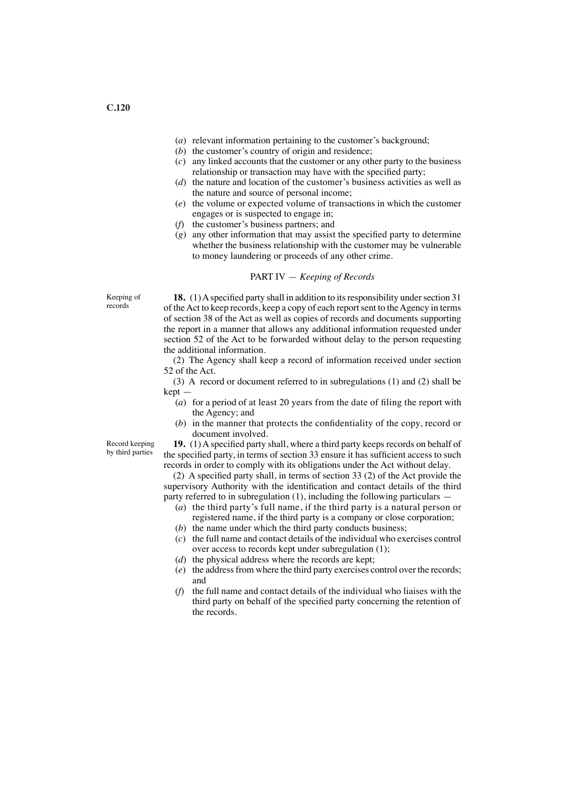- (*a*) relevant information pertaining to the customer's background;
- (*b*) the customer's country of origin and residence;
- (*c*) any linked accounts that the customer or any other party to the business relationship or transaction may have with the specifed party;
- (*d*) the nature and location of the customer's business activities as well as the nature and source of personal income;
- (*e*) the volume or expected volume of transactions in which the customer engages or is suspected to engage in;
- (*f*) the customer's business partners; and
- (*g*) any other information that may assist the specifed party to determine whether the business relationship with the customer may be vulnerable to money laundering or proceeds of any other crime.

### PART IV — *Keeping of Records*

Keeping of records

**18.** (1) A specified party shall in addition to its responsibility under section 31 of the Act to keep records, keep a copy of each report sent to the Agency in terms of section 38 of the Act as well as copies of records and documents supporting the report in a manner that allows any additional information requested under section 52 of the Act to be forwarded without delay to the person requesting the additional information.

(2) The Agency shall keep a record of information received under section 52 of the Act.

(3) A record or document referred to in subregulations (1) and (2) shall be kept —

- (*a*) for a period of at least 20 years from the date of fling the report with the Agency; and
- (*b*) in the manner that protects the confdentiality of the copy, record or document involved.

Record keeping by third parties

**19.** (1)Aspecifed party shall, where a third party keeps records on behalf of the specifed party, in terms of section 33 ensure it has suffcient access to such records in order to comply with its obligations under the Act without delay.

(2) A specifed party shall, in terms of section 33 (2) of the Act provide the supervisory Authority with the identifcation and contact details of the third party referred to in subregulation (1), including the following particulars —

- (*a*) the third party's full name, if the third party is a natural person or registered name, if the third party is a company or close corporation;
- (*b*) the name under which the third party conducts business;
- (*c*) the full name and contact details of the individual who exercises control over access to records kept under subregulation (1);
- (*d*) the physical address where the records are kept;
- (*e*) the address from where the third party exercises control over the records; and
- (*f*) the full name and contact details of the individual who liaises with the third party on behalf of the specifed party concerning the retention of the records.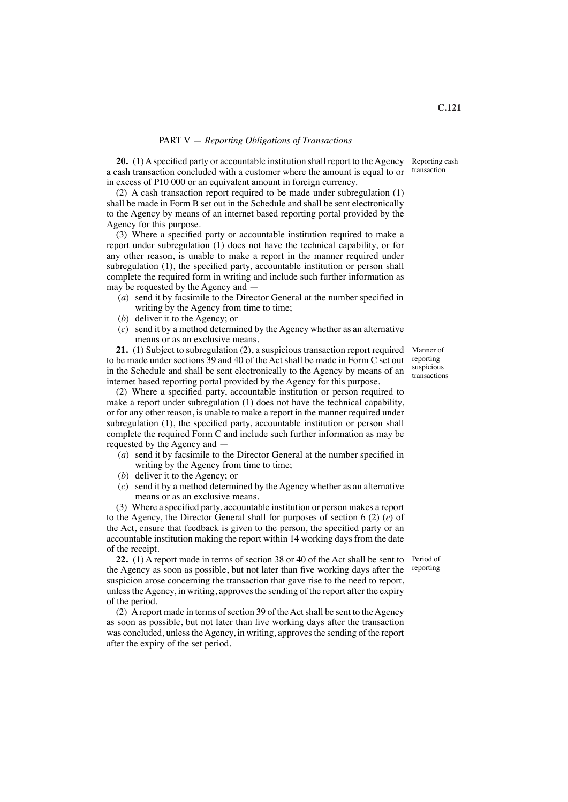#### PART V — *Reporting Obligations of Transactions*

**20.** (1) A specified party or accountable institution shall report to the Agency a cash transaction concluded with a customer where the amount is equal to or in excess of P10 000 or an equivalent amount in foreign currency. Reporting cash transaction

(2) A cash transaction report required to be made under subregulation (1) shall be made in Form B set out in the Schedule and shall be sent electronically to the Agency by means of an internet based reporting portal provided by the Agency for this purpose.

(3) Where a specifed party or accountable institution required to make a report under subregulation (1) does not have the technical capability, or for any other reason, is unable to make a report in the manner required under subregulation (1), the specifed party, accountable institution or person shall complete the required form in writing and include such further information as may be requested by the Agency and —

- (*a*) send it by facsimile to the Director General at the number specifed in writing by the Agency from time to time;
- (*b*) deliver it to the Agency; or
- (*c*) send it by a method determined by the Agency whether as an alternative means or as an exclusive means.

**21.** (1) Subject to subregulation (2), a suspicious transaction report required to be made under sections 39 and 40 of the Act shall be made in Form C set out in the Schedule and shall be sent electronically to the Agency by means of an internet based reporting portal provided by the Agency for this purpose.

(2) Where a specifed party, accountable institution or person required to make a report under subregulation (1) does not have the technical capability, or for any other reason, is unable to make a report in the manner required under subregulation (1), the specifed party, accountable institution or person shall complete the required Form C and include such further information as may be requested by the Agency and —

- (*a*) send it by facsimile to the Director General at the number specifed in writing by the Agency from time to time;
- (*b*) deliver it to the Agency; or
- (*c*) send it by a method determined by the Agency whether as an alternative means or as an exclusive means.

(3) Where a specifed party, accountable institution or person makes a report to the Agency, the Director General shall for purposes of section 6 (2) (*e*) of the Act, ensure that feedback is given to the person, the specifed party or an accountable institution making the report within 14 working days from the date of the receipt.

**22.** (1) A report made in terms of section 38 or 40 of the Act shall be sent to Period of the Agency as soon as possible, but not later than five working days after the <sup>reporting</sup> suspicion arose concerning the transaction that gave rise to the need to report, unless the Agency, in writing, approves the sending of the report after the expiry of the period.

(2) A report made in terms of section 39 of the Act shall be sent to the Agency as soon as possible, but not later than fve working days after the transaction was concluded, unless the Agency, in writing, approves the sending of the report after the expiry of the set period.

Manner of reporting suspicious

transactions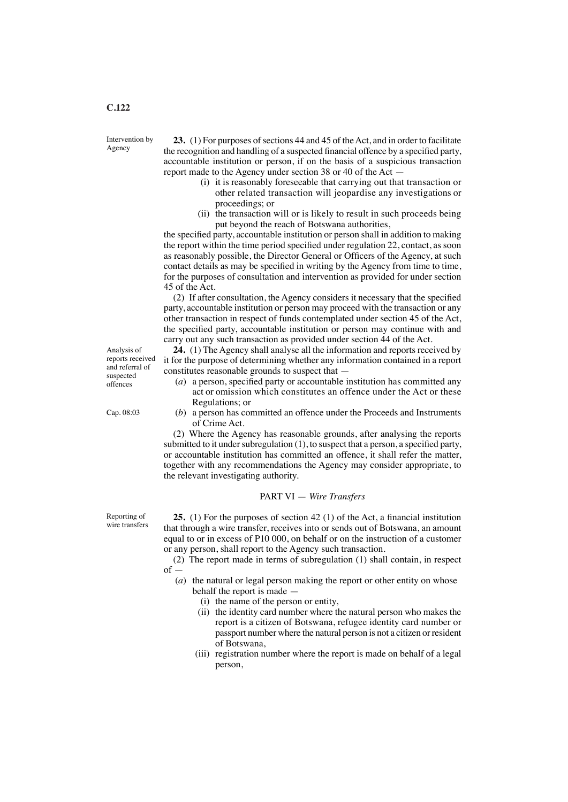Intervention by Agency

**23.** (1) For purposes of sections 44 and 45 of the Act, and in order to facilitate the recognition and handling of a suspected fnancial offence by a specifed party, accountable institution or person, if on the basis of a suspicious transaction report made to the Agency under section 38 or 40 of the Act —

- (i) it is reasonably foreseeable that carrying out that transaction or other related transaction will jeopardise any investigations or proceedings; or
- (ii) the transaction will or is likely to result in such proceeds being put beyond the reach of Botswana authorities,

the specifed party, accountable institution or person shall in addition to making the report within the time period specifed under regulation 22, contact, as soon as reasonably possible, the Director General or Officers of the Agency, at such contact details as may be specifed in writing by the Agency from time to time, for the purposes of consultation and intervention as provided for under section 45 of the Act.

(2) If after consultation, the Agency considers it necessary that the specifed party, accountable institution or person may proceed with the transaction or any other transaction in respect of funds contemplated under section 45 of the Act, the specifed party, accountable institution or person may continue with and carry out any such transaction as provided under section 44 of the Act.

**24.** (1) The Agency shall analyse all the information and reports received by it for the purpose of determining whether any information contained in a report constitutes reasonable grounds to suspect that —

- (*a*) a person, specifed party or accountable institution has committed any act or omission which constitutes an offence under the Act or these Regulations; or
- (*b*) a person has committed an offence under the Proceeds and Instruments of Crime Act.

(2) Where the Agency has reasonable grounds, after analysing the reports submitted to it under subregulation  $(1)$ , to suspect that a person, a specified party, or accountable institution has committed an offence, it shall refer the matter, together with any recommendations the Agency may consider appropriate, to the relevant investigating authority.

#### PART VI — *Wire Transfers*

**25.** (1) For the purposes of section 42 (1) of the Act, a fnancial institution that through a wire transfer, receives into or sends out of Botswana, an amount equal to or in excess of P10 000, on behalf or on the instruction of a customer or any person, shall report to the Agency such transaction.

(2) The report made in terms of subregulation (1) shall contain, in respect  $of -$ 

(*a*) the natural or legal person making the report or other entity on whose behalf the report is made —

- (i) the name of the person or entity,
- (ii) the identity card number where the natural person who makes the report is a citizen of Botswana, refugee identity card number or passport number where the natural person is not a citizen or resident of Botswana,
- (iii) registration number where the report is made on behalf of a legal person,

Analysis of reports received and referral of suspected offences

Cap. 08:03

Reporting of wire transfers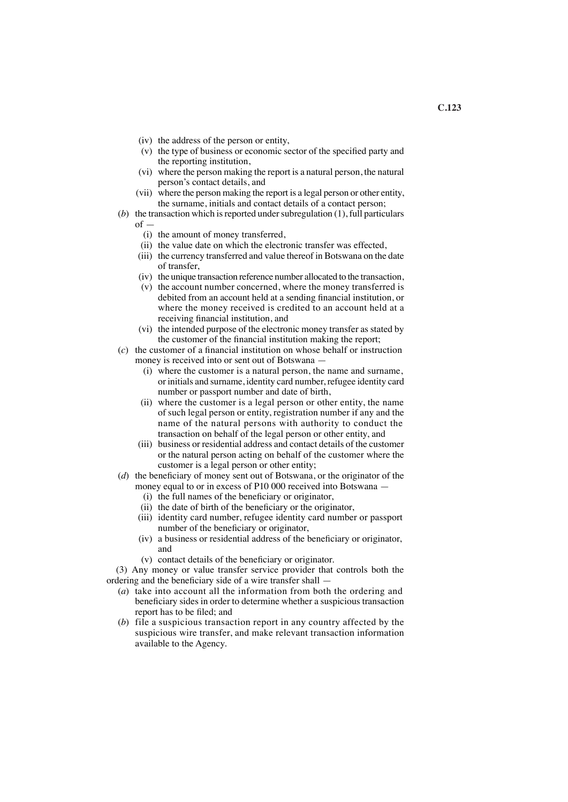- (iv) the address of the person or entity,
- (v) the type of business or economic sector of the specifed party and the reporting institution,
- (vi) where the person making the report is a natural person, the natural person's contact details, and<br>(vii) where the person making the i
- where the person making the report is a legal person or other entity, the surname, initials and contact details of a contact person;
- (*b*) the transaction which is reported under subregulation (1), full particulars of —
	- (i) the amount of money transferred,
	- (ii) the value date on which the electronic transfer was effected,
	- (iii) the currency transferred and value thereof in Botswana on the date of transfer,
	- (iv) the unique transaction reference number allocated to the transaction,
	- (v) the account number concerned, where the money transferred is debited from an account held at a sending fnancial institution, or where the money received is credited to an account held at a receiving fnancial institution, and
	- (vi) the intended purpose of the electronic money transfer as stated by the customer of the fnancial institution making the report;
- (*c*) the customer of a fnancial institution on whose behalf or instruction money is received into or sent out of Botswana —
	- (i) where the customer is a natural person, the name and surname, or initials and surname, identity card number, refugee identity card number or passport number and date of birth,
	- (ii) where the customer is a legal person or other entity, the name of such legal person or entity, registration number if any and the name of the natural persons with authority to conduct the transaction on behalf of the legal person or other entity, and
	- (iii) business or residential address and contact details of the customer or the natural person acting on behalf of the customer where the customer is a legal person or other entity;
- (*d*) the benefciary of money sent out of Botswana, or the originator of the money equal to or in excess of P10 000 received into Botswana —
	- (i) the full names of the benefciary or originator,
	- (ii) the date of birth of the benefciary or the originator,
	- (iii) identity card number, refugee identity card number or passport number of the beneficiary or originator,
	- (iv) a business or residential address of the benefciary or originator, and
	- (v) contact details of the benefciary or originator.

(3) Any money or value transfer service provider that controls both the ordering and the benefciary side of a wire transfer shall —

- (*a*) take into account all the information from both the ordering and benefciary sides in order to determine whether a suspicious transaction report has to be fled; and
- (*b*) file a suspicious transaction report in any country affected by the suspicious wire transfer, and make relevant transaction information available to the Agency.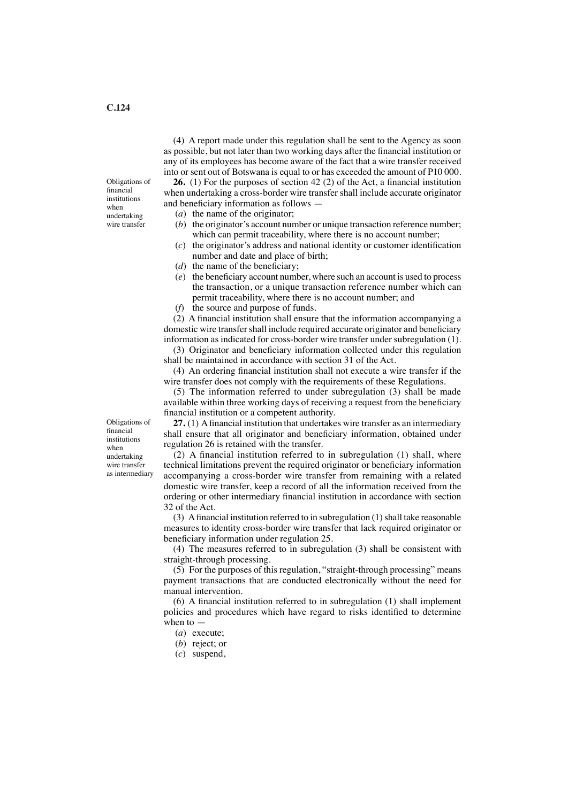(4) A report made under this regulation shall be sent to the Agency as soon as possible, but not later than two working days after the fnancial institution or any of its employees has become aware of the fact that a wire transfer received into or sent out of Botswana is equal to or has exceeded the amount of P10 000.

**26.** (1) For the purposes of section 42 (2) of the Act, a fnancial institution when undertaking a cross-border wire transfer shall include accurate originator and benefciary information as follows —

- (*a*) the name of the originator;
- (*b*) the originator's account number or unique transaction reference number; which can permit traceability, where there is no account number;
- (*c*) the originator's address and national identity or customer identifcation number and date and place of birth;
- $(d)$  the name of the beneficiary;
- (*e*) the benefciary account number, where such an account is used to process the transaction, or a unique transaction reference number which can permit traceability, where there is no account number; and
- (*f*) the source and purpose of funds.

(2) A fnancial institution shall ensure that the information accompanying a domestic wire transfer shall include required accurate originator and beneficiary information as indicated for cross-border wire transfer under subregulation (1).

(3) Originator and benefciary information collected under this regulation shall be maintained in accordance with section 31 of the Act.

(4) An ordering fnancial institution shall not execute a wire transfer if the wire transfer does not comply with the requirements of these Regulations.

(5) The information referred to under subregulation (3) shall be made available within three working days of receiving a request from the benefciary fnancial institution or a competent authority.

**27.** (1) Afnancial institution that undertakes wire transfer as an intermediary shall ensure that all originator and benefciary information, obtained under regulation 26 is retained with the transfer.

(2) A fnancial institution referred to in subregulation (1) shall, where technical limitations prevent the required originator or benefciary information accompanying a cross-border wire transfer from remaining with a related domestic wire transfer, keep a record of all the information received from the ordering or other intermediary fnancial institution in accordance with section 32 of the Act.

(3) A financial institution referred to in subregulation  $(1)$  shall take reasonable measures to identity cross-border wire transfer that lack required originator or beneficiary information under regulation 25.

(4) The measures referred to in subregulation (3) shall be consistent with straight-through processing.

(5) For the purposes of this regulation, "straight-through processing" means payment transactions that are conducted electronically without the need for manual intervention.

(6) A fnancial institution referred to in subregulation (1) shall implement policies and procedures which have regard to risks identifed to determine when to —

- (*a*) execute;
- (*b*) reject; or
- (*c*) suspend,

Obligations of fnancial institutions when undertaking wire transfer as intermediary

Obligations of fnancial institutions when undertaking wire transfer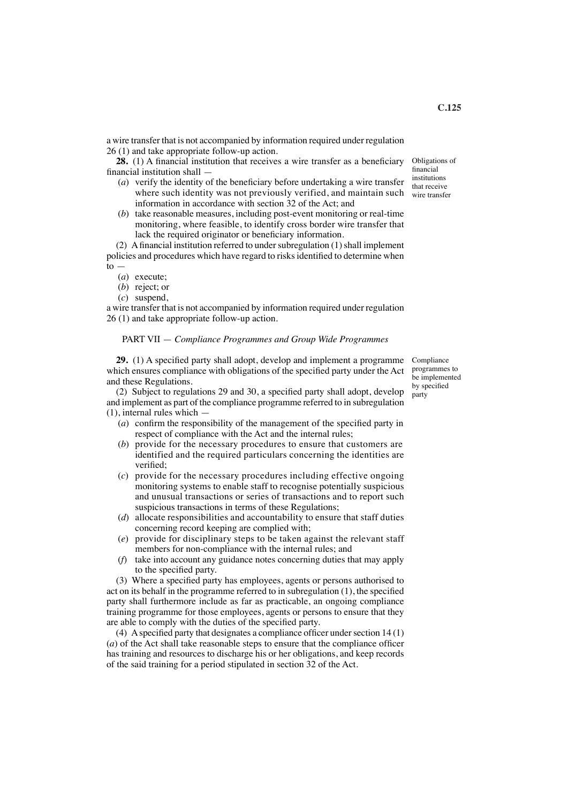a wire transfer that is not accompanied by information required under regulation 26 (1) and take appropriate follow-up action.

28. (1) A financial institution that receives a wire transfer as a beneficiary fnancial institution shall —

- (*a*) verify the identity of the benefciary before undertaking a wire transfer where such identity was not previously verified, and maintain such information in accordance with section 32 of the Act; and
- (*b*) take reasonable measures, including post-event monitoring or real-time monitoring, where feasible, to identify cross border wire transfer that lack the required originator or beneficiary information.

(2) A financial institution referred to under subregulation  $(1)$  shall implement policies and procedures which have regard to risksidentifed to determine when  $to$ .

- (*a*) execute;
- (*b*) reject; or
- (*c*) suspend,

a wire transfer that is not accompanied by information required under regulation 26 (1) and take appropriate follow-up action.

### PART VII — *Compliance Programmes and Group Wide Programmes*

**29.** (1) A specifed party shall adopt, develop and implement a programme which ensures compliance with obligations of the specifed party under the Act and these Regulations.

(2) Subject to regulations 29 and 30, a specifed party shall adopt, develop and implement as part of the compliance programme referred to in subregulation (1), internal rules which —

- (*a*) confrm the responsibility of the management of the specifed party in respect of compliance with the Act and the internal rules;
- (*b*) provide for the necessary procedures to ensure that customers are identified and the required particulars concerning the identities are verifed;
- (*c*) provide for the necessary procedures including effective ongoing monitoring systems to enable staff to recognise potentially suspicious and unusual transactions or series of transactions and to report such suspicious transactions in terms of these Regulations;
- (*d*) allocate responsibilities and accountability to ensure that staff duties concerning record keeping are complied with;
- (*e*) provide for disciplinary steps to be taken against the relevant staff members for non-compliance with the internal rules; and
- (*f*) take into account any guidance notes concerning duties that may apply to the specifed party.

(3) Where a specifed party has employees, agents or persons authorised to act on its behalf in the programme referred to in subregulation (1), the specifed party shall furthermore include as far as practicable, an ongoing compliance training programme for those employees, agents or persons to ensure that they are able to comply with the duties of the specifed party.

(4) A specified party that designates a compliance officer under section  $14(1)$  $(a)$  of the Act shall take reasonable steps to ensure that the compliance officer has training and resources to discharge his or her obligations, and keep records of the said training for a period stipulated in section 32 of the Act.

Compliance programmes to be implemented by specifed party

Obligations of fnancial institutions that receive wire transfer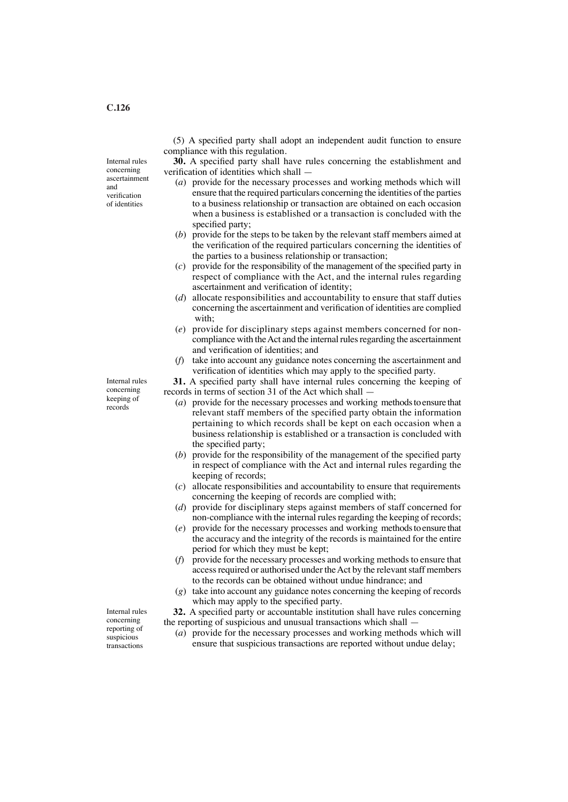Internal rules concerning ascertainment and verifcation of identities

(5) A specifed party shall adopt an independent audit function to ensure compliance with this regulation.

**30.** A specifed party shall have rules concerning the establishment and verifcation of identities which shall —

- (*a*) provide for the necessary processes and working methods which will ensure that the required particulars concerning the identities of the parties to a business relationship or transaction are obtained on each occasion when a business is established or a transaction is concluded with the specifed party;
- (*b*) provide for the steps to be taken by the relevant staff members aimed at the verifcation of the required particulars concerning the identities of the parties to a business relationship or transaction;
- (*c*) provide for the responsibility of the management of the specifed party in respect of compliance with the Act, and the internal rules regarding ascertainment and verifcation of identity;
- (*d*) allocate responsibilities and accountability to ensure that staff duties concerning the ascertainment and verifcation of identities are complied with;
- (*e*) provide for disciplinary steps against members concerned for non compliance with the Act and the internal rules regarding the ascertainment and verifcation of identities; and
- (*f*) take into account any guidance notes concerning the ascertainment and verifcation of identities which may apply to the specifed party.

**31.** A specifed party shall have internal rules concerning the keeping of records in terms of section 31 of the Act which shall —

- (*a*) provide for the necessary processes and working methods to ensure that relevant staff members of the specifed party obtain the information pertaining to which records shall be kept on each occasion when a business relationship is established or a transaction is concluded with the specifed party;
- (*b*) provide for the responsibility of the management of the specifed party in respect of compliance with the Act and internal rules regarding the keeping of records;
- (*c*) allocate responsibilities and accountability to ensure that requirements concerning the keeping of records are complied with;
- (*d*) provide for disciplinary steps against members of staff concerned for non-compliance with the internal rules regarding the keeping of records;
- (*e*) provide for the necessary processes and working methods to ensure that the accuracy and the integrity of the records is maintained for the entire period for which they must be kept;
- (*f*) provide for the necessary processes and working methods to ensure that access required or authorised under the Act by the relevant staff members to the records can be obtained without undue hindrance; and
- (*g*) take into account any guidance notes concerning the keeping of records which may apply to the specifed party.

**32.** A specifed party or accountable institution shall have rules concerning the reporting of suspicious and unusual transactions which shall —

(*a*) provide for the necessary processes and working methods which will ensure that suspicious transactions are reported without undue delay;

Internal rules concerning keeping of records

Internal rules concerning reporting of suspicious transactions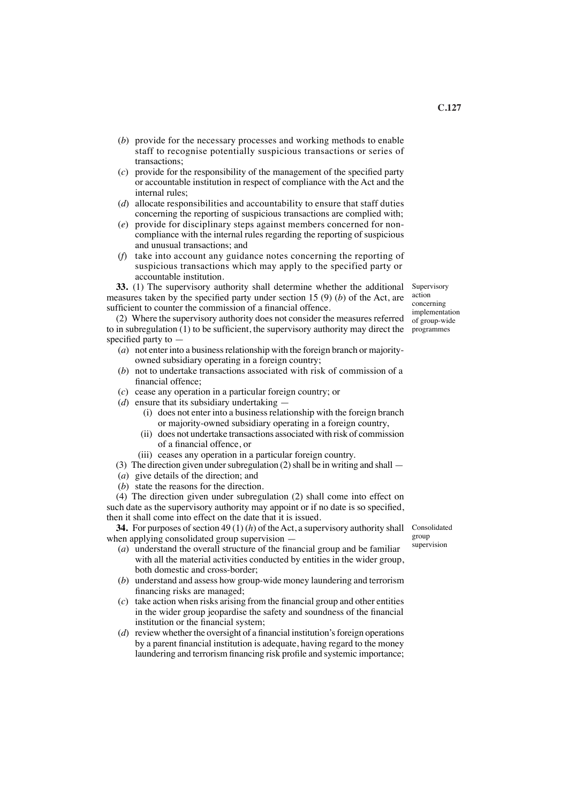- (*b*) provide for the necessary processes and working methods to enable staff to recognise potentially suspicious transactions or series of transactions;
- (*c*) provide for the responsibility of the management of the specifed party or accountable institution in respect of compliance with the Act and the internal rules;
- (*d*) allocate responsibilities and accountability to ensure that staff duties concerning the reporting of suspicious transactions are complied with;
- (*e*) provide for disciplinary steps against members concerned for non compliance with the internal rules regarding the reporting of suspicious and unusual transactions; and
- (*f*) take into account any guidance notes concerning the reporting of suspicious transactions which may apply to the specified party or accountable institution.

**33.** (1) The supervisory authority shall determine whether the additional measures taken by the specifed party under section 15 (9) (*b*) of the Act, are sufficient to counter the commission of a financial offence.

(2) Where the supervisory authority does not consider the measures referred  $\frac{m_{\text{p}}}{m_{\text{p}}}\frac{1}{\text{p}}$ to in subregulation (1) to be suffcient, the supervisory authority may direct the programmes specifed party to —

- (*a*) not enter into a business relationship with the foreign branch or majority owned subsidiary operating in a foreign country;
- (*b*) not to undertake transactions associated with risk of commission of a fnancial offence;
- (*c*) cease any operation in a particular foreign country; or
- (*d*) ensure that its subsidiary undertaking
	- (i) does not enter into a business relationship with the foreign branch or majority-owned subsidiary operating in a foreign country,
	- (ii) does not undertake transactions associated with risk of commission of a fnancial offence, or
	- (iii) ceases any operation in a particular foreign country.
- (3) The direction given under subregulation (2) shall be in writing and shall —
- (*a*) give details of the direction; and
- (*b*) state the reasons for the direction.

(4) The direction given under subregulation (2) shall come into effect on such date as the supervisory authority may appoint or if no date is so specifed, then it shall come into effect on the date that it is issued.

**34.** For purposes of section 49 (1) (*h*) of the Act, a supervisory authority shall Consolidated when applying consolidated group supervision —

- (*a*) understand the overall structure of the fnancial group and be familiar with all the material activities conducted by entities in the wider group, both domestic and cross-border;
- (*b*) understand and assess how group-wide money laundering and terrorism fnancing risks are managed;
- (*c*) take action when risks arising from the fnancial group and other entities in the wider group jeopardise the safety and soundness of the fnancial institution or the fnancial system;
- $(d)$  review whether the oversight of a financial institution's foreign operations by a parent fnancial institution is adequate, having regard to the money laundering and terrorism fnancing risk profle and systemic importance;

group supervision

Supervisory action concerning implementation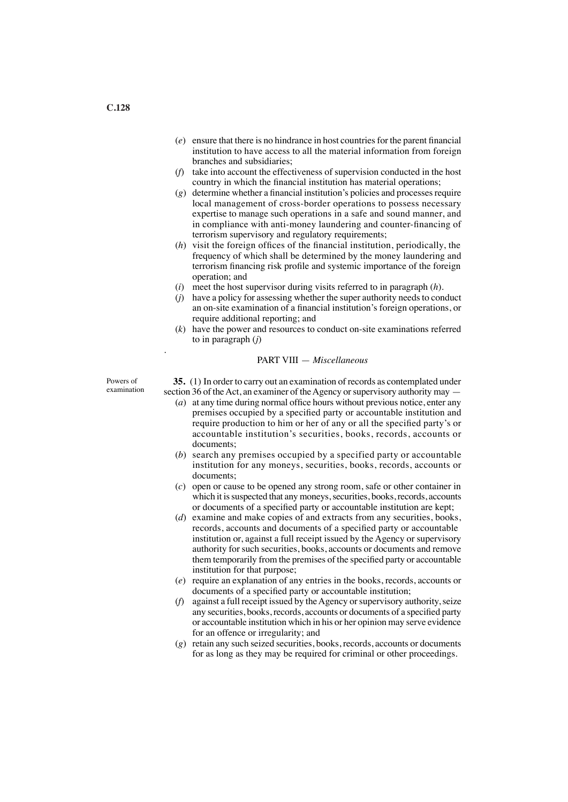- (*e*) ensure that there is no hindrance in host countriesfor the parent fnancial institution to have access to all the material information from foreign branches and subsidiaries;
- (*f*) take into account the effectiveness of supervision conducted in the host country in which the fnancial institution has material operations;
- $(g)$  determine whether a financial institution's policies and processes require local management of cross-border operations to possess necessary expertise to manage such operations in a safe and sound manner, and in compliance with anti-money laundering and counter-fnancing of terrorism supervisory and regulatory requirements;
- (*h*) visit the foreign offces of the fnancial institution, periodically, the frequency of which shall be determined by the money laundering and terrorism fnancing risk profle and systemic importance of the foreign operation; and
- (*i*) meet the host supervisor during visits referred to in paragraph (*h*).
- (*j*) have a policy for assessing whether the super authority needs to conduct an on-site examination of a fnancial institution's foreign operations, or require additional reporting; and
- (*k*) have the power and resources to conduct on-site examinations referred to in paragraph (*j*)

#### PART VIII — *Miscellaneous*

Powers of examination .

**35.** (1) In order to carry out an examination of records as contemplated under section 36 of the Act, an examiner of the Agency or supervisory authority may —

- (*a*) at any time during normal office hours without previous notice, enter any premises occupied by a specifed party or accountable institution and require production to him or her of any or all the specifed party's or accountable institution's securities, books, records, accounts or documents;
- (*b*) search any premises occupied by a specified party or accountable institution for any moneys, securities, books, records, accounts or documents;
- (*c*) open or cause to be opened any strong room, safe or other container in which it is suspected that any moneys, securities, books, records, accounts or documents of a specifed party or accountable institution are kept;
- (*d*) examine and make copies of and extracts from any securities, books, records, accounts and documents of a specifed party or accountable institution or, against a full receipt issued by the Agency or supervisory authority for such securities, books, accounts or documents and remove them temporarily from the premises of the specifed party or accountable institution for that purpose;
- (*e*) require an explanation of any entries in the books, records, accounts or documents of a specifed party or accountable institution;
- (*f*) against a full receipt issued by the Agency or supervisory authority, seize any securities, books, records, accounts or documents of a specifed party or accountable institution which in his or her opinion may serve evidence for an offence or irregularity; and
- (*g*) retain any such seized securities, books, records, accounts or documents for as long as they may be required for criminal or other proceedings.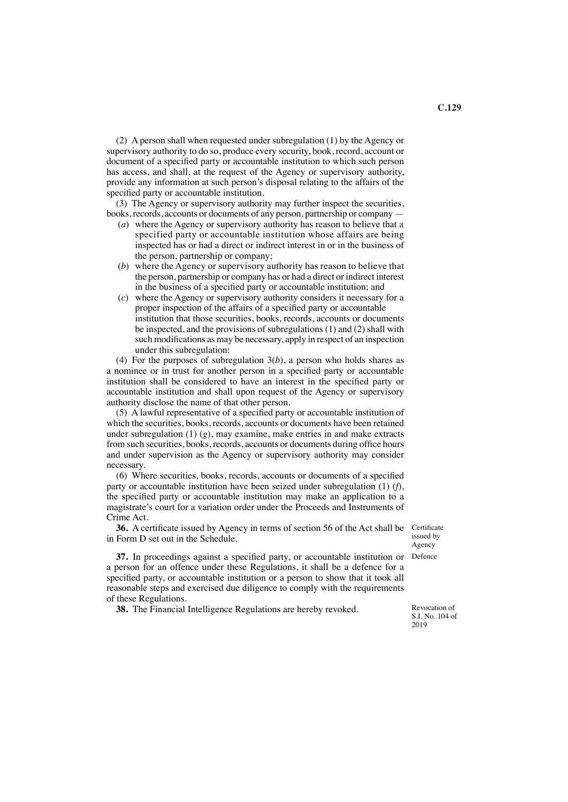(2) A person shall when requested under subregulation (1) by the Agency or supervisory authority to do so, produce every security, book, record, account or document of a specifed party or accountable institution to which such person has access, and shall, at the request of the Agency or supervisory authority, provide any information at such person's disposal relating to the affairs of the specifed party or accountable institution.

(3) The Agency or supervisory authority may further inspect the securities, books, records, accounts or documents of any person, partnership or company —

- (*a*) where the Agency or supervisory authority has reason to believe that a specified party or accountable institution whose affairs are being inspected has or had a direct or indirect interest in or in the business of the person, partnership or company;
- (*b*) where the Agency or supervisory authority has reason to believe that the person, partnership or company has or had a direct or indirect interest in the business of a specifed party or accountable institution; and
- (*c*) where the Agency or supervisory authority considers it necessary for a proper inspection of the affairs of a specifed party or accountable institution that those securities, books, records, accounts or documents be inspected, and the provisions of subregulations (1) and (2) shall with such modifcations as may be necessary, apply in respect of an inspection under this subregulation:

(4) For the purposes of subregulation 3(*b*), a person who holds shares as a nominee or in trust for another person in a specifed party or accountable institution shall be considered to have an interest in the specifed party or accountable institution and shall upon request of the Agency or supervisory authority disclose the name of that other person.

(5) A lawful representative of a specifed party or accountable institution of which the securities, books, records, accounts or documents have been retained under subregulation  $(1)$   $(g)$ , may examine, make entries in and make extracts from such securities, books, records, accounts or documents during offce hours and under supervision as the Agency or supervisory authority may consider necessary.

(6) Where securities, books, records, accounts or documents of a specifed party or accountable institution have been seized under subregulation (1) (*f*), the specifed party or accountable institution may make an application to a magistrate's court for a variation order under the Proceeds and Instruments of Crime Act.

**36.** A certifcate issued by Agency in terms of section 56 of the Act shall be Certifcate in Form D set out in the Schedule.

issued by Agency

**37.** In proceedings against a specifed party, or accountable institution or Defence a person for an offence under these Regulations, it shall be a defence for a specifed party, or accountable institution or a person to show that it took all reasonable steps and exercised due diligence to comply with the requirements of these Regulations.

**38.** The Financial Intelligence Regulations are hereby revoked.

Revocation of S.I. No. 104 of 2019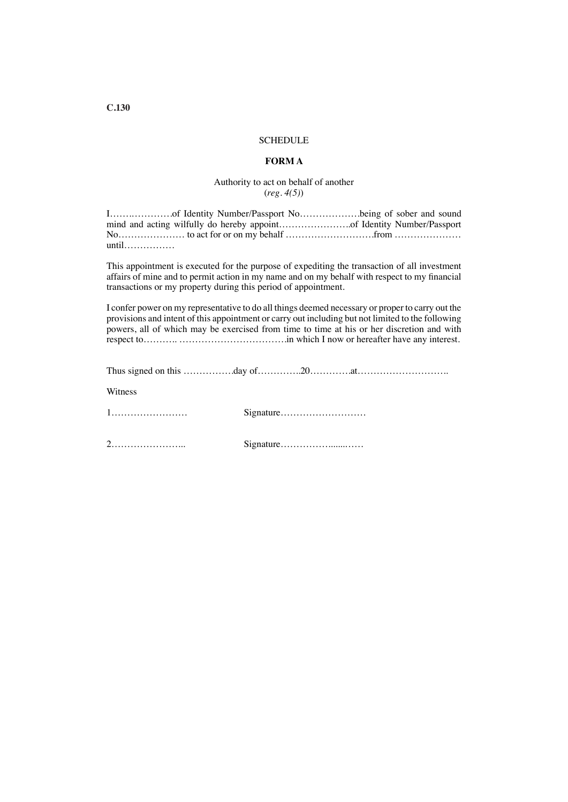## **SCHEDULE**

## **FORM A**

## Authority to act on behalf of another (*reg. 4(5)*)

| $until \dots \dots \dots \dots \dots$ |  |
|---------------------------------------|--|

This appointment is executed for the purpose of expediting the transaction of all investment affairs of mine and to permit action in my name and on my behalf with respect to my fnancial transactions or my property during this period of appointment.

I confer power on my representative to do all things deemed necessary or proper to carry out the provisions and intent of this appointment or carry out including but not limited to the following powers, all of which may be exercised from time to time at his or her discretion and with respect to……….. …………………………….in which I now or hereafter have any interest.

| Witness |  |
|---------|--|
|         |  |
|         |  |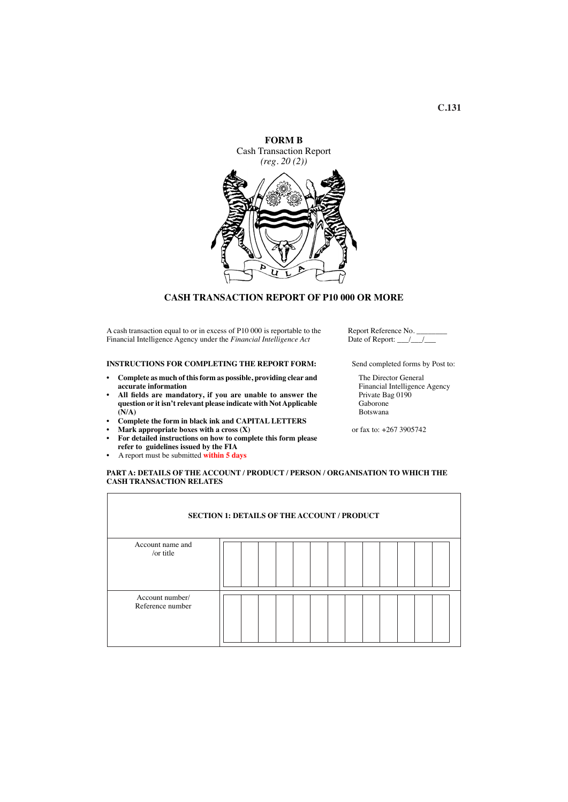

### **CASH TRANSACTION REPORT OF P10 000 OR MORE**

A cash transaction equal to or in excess of P10 000 is reportable to the Financial Intelligence Agency under the *Financial Intelligence Act*

#### **INSTRUCTIONS FOR COMPLETING THE REPORT FORM:**

- **• Complete as much of thisform as possible, providing clear and accurate information**
- **• All felds are mandatory, if you are unable to answer the question or it isn't relevant please indicate with NotApplicable (N/A)**
- **• Complete the form in black ink and CAPITAL LETTERS**
- **• Mark appropriate boxes with a cross (X)**
- **• For detailed instructions on how to complete this form please refer to guidelines issued by the FIA**
- A report must be submitted **within 5 days**

Report Reference No. Date of Report:  $\sqrt{}/\sqrt{}$ 

Send completed forms by Post to:

The Director General Financial Intelligence Agency Private Bag 0190 Gaborone Botswana

or fax to: +267 3905742

#### **PART A: DETAILS OF THE ACCOUNT / PRODUCT / PERSON / ORGANISATION TO WHICH THE CASH TRANSACTION RELATES**

|                                     | <b>SECTION 1: DETAILS OF THE ACCOUNT / PRODUCT</b> |
|-------------------------------------|----------------------------------------------------|
| Account name and<br>/or title       |                                                    |
| Account number/<br>Reference number |                                                    |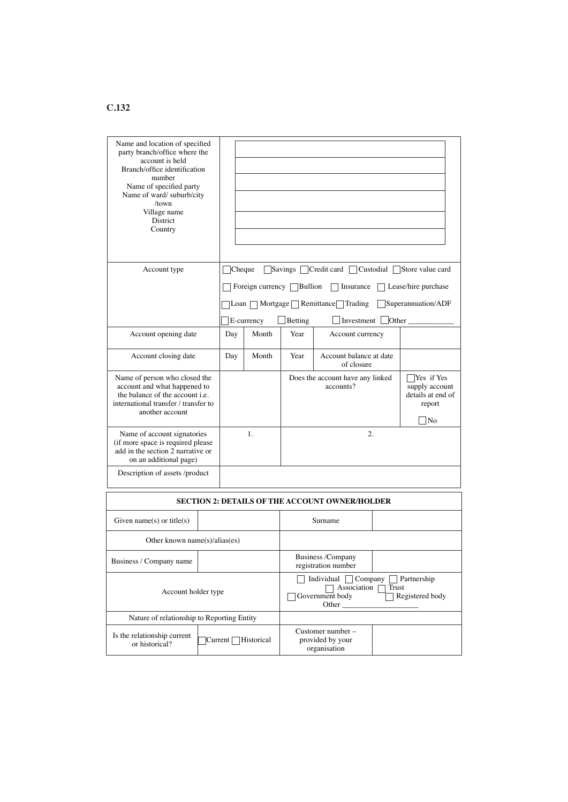| Name and location of specified<br>party branch/office where the<br>account is held<br>Branch/office identification<br>number<br>Name of specified party<br>Name of ward/ suburb/city<br>/town<br>Village name<br>District<br>Country |                                                                                                                                          |        |                                                                                                                                   |                                                                                                                     |                                                       |  |                            |  |
|--------------------------------------------------------------------------------------------------------------------------------------------------------------------------------------------------------------------------------------|------------------------------------------------------------------------------------------------------------------------------------------|--------|-----------------------------------------------------------------------------------------------------------------------------------|---------------------------------------------------------------------------------------------------------------------|-------------------------------------------------------|--|----------------------------|--|
| Account type                                                                                                                                                                                                                         |                                                                                                                                          | Cheque |                                                                                                                                   |                                                                                                                     | Savings   Credit card   Custodial   Store value card  |  |                            |  |
|                                                                                                                                                                                                                                      |                                                                                                                                          |        | Foreign currency $\Box$ Bullion                                                                                                   |                                                                                                                     | Insurance                                             |  | $\Box$ Lease/hire purchase |  |
|                                                                                                                                                                                                                                      |                                                                                                                                          |        |                                                                                                                                   |                                                                                                                     | Loan $\Box$ Mortgage $\Box$ Remittance $\Box$ Trading |  | Superannuation/ADF         |  |
|                                                                                                                                                                                                                                      |                                                                                                                                          |        | E-currency                                                                                                                        | Betting                                                                                                             | Investment                                            |  | $\Box$ Other $\_\_$        |  |
| Account opening date                                                                                                                                                                                                                 |                                                                                                                                          | Day    | Month                                                                                                                             | Year                                                                                                                | Account currency                                      |  |                            |  |
| Account closing date                                                                                                                                                                                                                 |                                                                                                                                          | Day    | Month                                                                                                                             | Year                                                                                                                | Account balance at date<br>of closure                 |  |                            |  |
| another account                                                                                                                                                                                                                      | Name of person who closed the<br>account and what happened to<br>the balance of the account i.e.<br>international transfer / transfer to |        |                                                                                                                                   | Does the account have any linked<br>Yes if Yes<br>accounts?<br>supply account<br>details at end of<br>report<br> No |                                                       |  |                            |  |
| Name of account signatories<br>1.<br>(if more space is required please)<br>add in the section 2 narrative or<br>on an additional page)                                                                                               |                                                                                                                                          |        |                                                                                                                                   |                                                                                                                     | 2.                                                    |  |                            |  |
| Description of assets /product                                                                                                                                                                                                       |                                                                                                                                          |        |                                                                                                                                   |                                                                                                                     |                                                       |  |                            |  |
|                                                                                                                                                                                                                                      |                                                                                                                                          |        |                                                                                                                                   |                                                                                                                     | SECTION 2: DETAILS OF THE ACCOUNT OWNER/HOLDER        |  |                            |  |
| Given name(s) or title(s)                                                                                                                                                                                                            |                                                                                                                                          |        |                                                                                                                                   |                                                                                                                     | Surname                                               |  |                            |  |
| Other known name $(s)/alias(es)$                                                                                                                                                                                                     |                                                                                                                                          |        |                                                                                                                                   |                                                                                                                     |                                                       |  |                            |  |
| Business / Company name                                                                                                                                                                                                              |                                                                                                                                          |        | Business /Company<br>registration number                                                                                          |                                                                                                                     |                                                       |  |                            |  |
| Account holder type                                                                                                                                                                                                                  |                                                                                                                                          |        | Individual $\Box$ Company $\Box$ Partnership<br>Association $\Box$<br>Trust<br>Government body<br>Registered body<br>Other $\_\_$ |                                                                                                                     |                                                       |  |                            |  |
| Nature of relationship to Reporting Entity                                                                                                                                                                                           |                                                                                                                                          |        |                                                                                                                                   |                                                                                                                     |                                                       |  |                            |  |
| Is the relationship current<br>Current Historical<br>or historical?                                                                                                                                                                  |                                                                                                                                          |        |                                                                                                                                   | Customer number-<br>provided by your<br>organisation                                                                |                                                       |  |                            |  |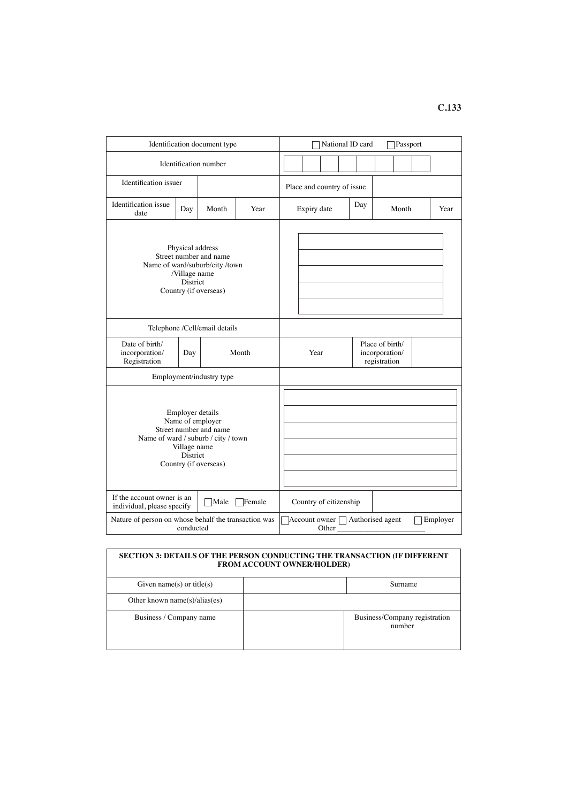| Identification document type                                                                                                                               |                                                                   |                               |       |                            |  | National ID card       |                                                   |  | Passport                                  |               |          |
|------------------------------------------------------------------------------------------------------------------------------------------------------------|-------------------------------------------------------------------|-------------------------------|-------|----------------------------|--|------------------------|---------------------------------------------------|--|-------------------------------------------|---------------|----------|
|                                                                                                                                                            |                                                                   | Identification number         |       |                            |  |                        |                                                   |  |                                           |               |          |
| Identification issuer                                                                                                                                      |                                                                   |                               |       | Place and country of issue |  |                        |                                                   |  |                                           |               |          |
| Identification issue<br>date                                                                                                                               | Day                                                               | Month                         | Year  | Day<br>Expiry date         |  |                        | Month<br>Year                                     |  |                                           |               |          |
| Physical address<br>Street number and name<br>Name of ward/suburb/city /town<br>/Village name<br>District<br>Country (if overseas)                         |                                                                   |                               |       |                            |  |                        |                                                   |  |                                           |               |          |
|                                                                                                                                                            |                                                                   | Telephone /Cell/email details |       |                            |  |                        |                                                   |  |                                           |               |          |
| Date of birth/<br>incorporation/<br>Registration                                                                                                           | Day                                                               |                               | Month | Year                       |  |                        | Place of birth/<br>incorporation/<br>registration |  |                                           |               |          |
|                                                                                                                                                            |                                                                   | Employment/industry type      |       |                            |  |                        |                                                   |  |                                           |               |          |
| Employer details<br>Name of employer<br>Street number and name<br>Name of ward / suburb / city / town<br>Village name<br>District<br>Country (if overseas) |                                                                   |                               |       |                            |  |                        |                                                   |  |                                           |               |          |
| If the account owner is an<br>Male<br>Female<br>individual, please specify                                                                                 |                                                                   |                               |       |                            |  | Country of citizenship |                                                   |  |                                           |               |          |
|                                                                                                                                                            | Nature of person on whose behalf the transaction was<br>conducted |                               |       |                            |  |                        |                                                   |  | Account owner □ Authorised agent<br>Other |               | Employer |
| <b>SECTION 3: DETAILS OF THE PERSON CONDUCTING THE TRANSACTION (IF DIFFERENT</b><br><b>FROM ACCOUNT OWNER/HOLDER)</b>                                      |                                                                   |                               |       |                            |  |                        |                                                   |  |                                           |               |          |
| $C_{i}^{(n)}$ name(a) or $\frac{i}{2}$ (a)                                                                                                                 |                                                                   |                               |       |                            |  |                        |                                                   |  |                                           | $C_{11}$ momo |          |

| Given name(s) or title(s)     | Surname                                 |
|-------------------------------|-----------------------------------------|
| Other known name(s)/alias(es) |                                         |
| Business / Company name       | Business/Company registration<br>number |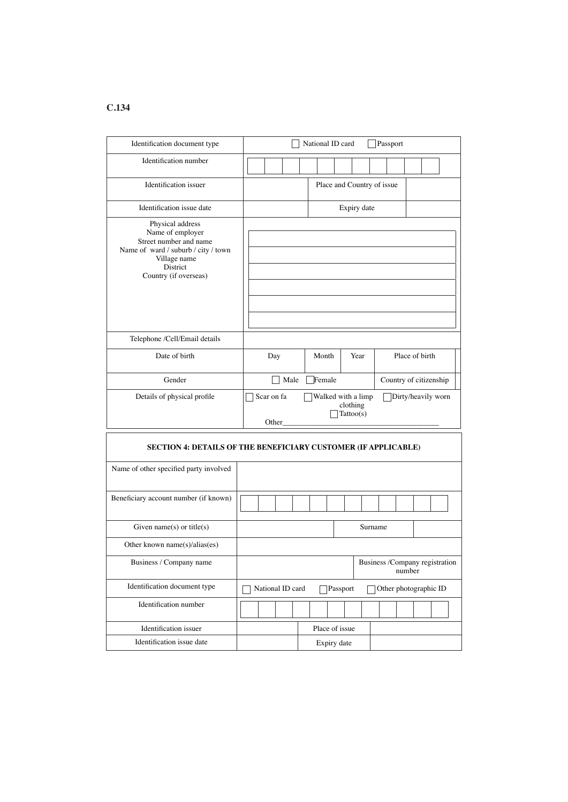| Identification document type                                                                                                                               | National ID card<br>Passport                                       |                |                            |         |                        |  |  |  |  |
|------------------------------------------------------------------------------------------------------------------------------------------------------------|--------------------------------------------------------------------|----------------|----------------------------|---------|------------------------|--|--|--|--|
| Identification number                                                                                                                                      |                                                                    |                |                            |         |                        |  |  |  |  |
| Identification issuer                                                                                                                                      |                                                                    |                | Place and Country of issue |         |                        |  |  |  |  |
| Identification issue date                                                                                                                                  |                                                                    | Expiry date    |                            |         |                        |  |  |  |  |
| Physical address<br>Name of employer<br>Street number and name<br>Name of ward / suburb / city / town<br>Village name<br>District<br>Country (if overseas) |                                                                    |                |                            |         |                        |  |  |  |  |
| Telephone /Cell/Email details                                                                                                                              |                                                                    |                |                            |         |                        |  |  |  |  |
| Date of birth                                                                                                                                              | Day                                                                | Month          | Year                       |         | Place of birth         |  |  |  |  |
| Gender                                                                                                                                                     |                                                                    | Female<br>Male |                            |         | Country of citizenship |  |  |  |  |
| Details of physical profile                                                                                                                                | Walked with a limp<br>Scar on fa<br>clothing<br>Tattoo(s)<br>Other |                |                            |         | Dirty/heavily worn     |  |  |  |  |
| SECTION 4: DETAILS OF THE BENEFICIARY CUSTOMER (IF APPLICABLE)                                                                                             |                                                                    |                |                            |         |                        |  |  |  |  |
| Name of other specified party involved                                                                                                                     |                                                                    |                |                            |         |                        |  |  |  |  |
| Beneficiary account number (if known)                                                                                                                      |                                                                    |                |                            |         |                        |  |  |  |  |
| Given name(s) or title(s)                                                                                                                                  |                                                                    |                |                            | Surname |                        |  |  |  |  |
| Other known name(s)/alias(es)                                                                                                                              |                                                                    |                |                            |         |                        |  |  |  |  |
| Business / Company name                                                                                                                                    | Business /Company registration<br>number                           |                |                            |         |                        |  |  |  |  |
| Identification document type                                                                                                                               | National ID card                                                   | Passport       |                            |         | Other photographic ID  |  |  |  |  |
| Identification number                                                                                                                                      |                                                                    |                |                            |         |                        |  |  |  |  |
| Identification issuer                                                                                                                                      |                                                                    | Place of issue |                            |         |                        |  |  |  |  |
| Identification issue date                                                                                                                                  |                                                                    | Expiry date    |                            |         |                        |  |  |  |  |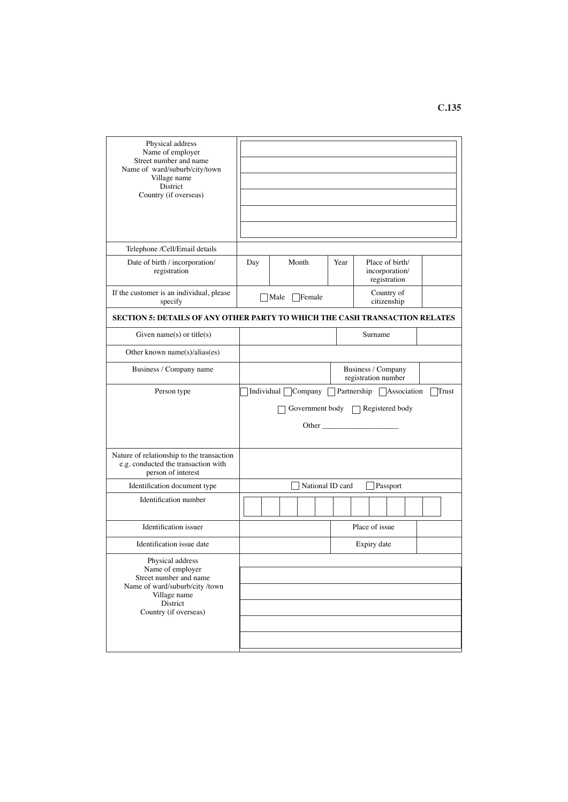| Physical address<br>Name of employer<br>Street number and name<br>Name of ward/suburb/city/town<br>Village name<br>District<br>Country (if overseas) |     |                                  |      |                                                   |
|------------------------------------------------------------------------------------------------------------------------------------------------------|-----|----------------------------------|------|---------------------------------------------------|
| Telephone /Cell/Email details                                                                                                                        |     |                                  |      |                                                   |
| Date of birth / incorporation/<br>registration                                                                                                       | Day | Month                            | Year | Place of birth/<br>incorporation/<br>registration |
| If the customer is an individual, please<br>specify                                                                                                  |     | Male<br>Female                   |      | Country of<br>citizenship                         |
| <b>SECTION 5: DETAILS OF ANY OTHER PARTY TO WHICH THE CASH TRANSACTION RELATES</b>                                                                   |     |                                  |      |                                                   |
| Given name(s) or title(s)                                                                                                                            |     |                                  |      | Surname                                           |
| Other known name(s)/alias(es)                                                                                                                        |     |                                  |      |                                                   |
| Business / Company name                                                                                                                              |     |                                  |      | Business / Company<br>registration number         |
| Person type                                                                                                                                          |     | Individual $\Box$ Company $\Box$ |      | Partnership Association<br>Trust                  |
|                                                                                                                                                      |     |                                  |      | Government body $\Box$ Registered body            |
|                                                                                                                                                      |     |                                  |      |                                                   |
| Nature of relationship to the transaction<br>e.g. conducted the transaction with<br>person of interest                                               |     |                                  |      |                                                   |
| Identification document type                                                                                                                         |     | National ID card                 |      | Passport                                          |
| Identification number                                                                                                                                |     |                                  |      |                                                   |
| Identification issuer                                                                                                                                |     |                                  |      | Place of issue                                    |
| Identification issue date                                                                                                                            |     |                                  |      | Expiry date                                       |
| Physical address                                                                                                                                     |     |                                  |      |                                                   |
| Name of employer<br>Street number and name<br>Name of ward/suburb/city /town                                                                         |     |                                  |      |                                                   |
| Village name<br>District                                                                                                                             |     |                                  |      |                                                   |
| Country (if overseas)                                                                                                                                |     |                                  |      |                                                   |
|                                                                                                                                                      |     |                                  |      |                                                   |
|                                                                                                                                                      |     |                                  |      |                                                   |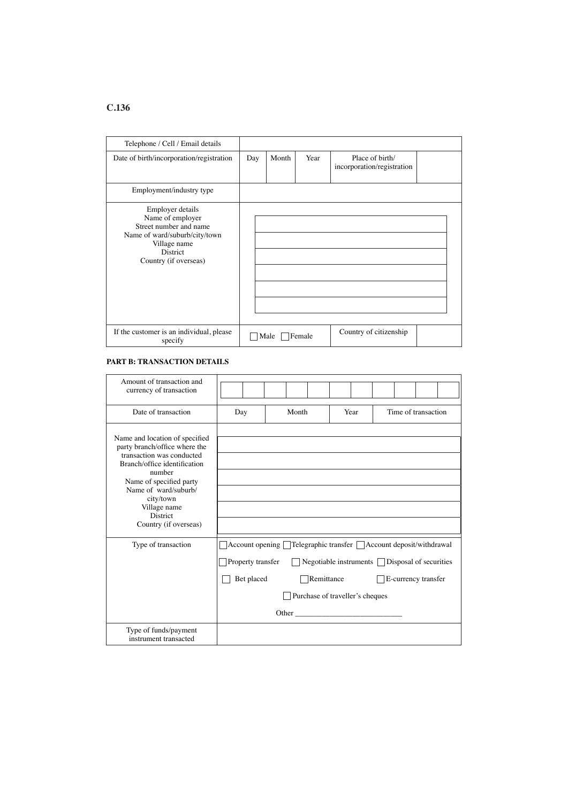| Telephone / Cell / Email details                                                                                                                            |     |       |        |                                               |  |
|-------------------------------------------------------------------------------------------------------------------------------------------------------------|-----|-------|--------|-----------------------------------------------|--|
| Date of birth/incorporation/registration                                                                                                                    | Day | Month | Year   | Place of birth/<br>incorporation/registration |  |
| Employment/industry type                                                                                                                                    |     |       |        |                                               |  |
| Employer details<br>Name of employer<br>Street number and name<br>Name of ward/suburb/city/town<br>Village name<br><b>District</b><br>Country (if overseas) |     |       |        |                                               |  |
| If the customer is an individual, please<br>specify                                                                                                         |     | Male  | Female | Country of citizenship                        |  |

## **PART B: TRANSACTION DETAILS**

| Amount of transaction and<br>currency of transaction                                       |                   |                                                                     |                                                 |      |  |                     |  |
|--------------------------------------------------------------------------------------------|-------------------|---------------------------------------------------------------------|-------------------------------------------------|------|--|---------------------|--|
| Date of transaction                                                                        | Day               | Month                                                               |                                                 | Year |  | Time of transaction |  |
| Name and location of specified                                                             |                   |                                                                     |                                                 |      |  |                     |  |
| party branch/office where the<br>transaction was conducted<br>Branch/office identification |                   |                                                                     |                                                 |      |  |                     |  |
| number<br>Name of specified party                                                          |                   |                                                                     |                                                 |      |  |                     |  |
| Name of ward/suburb/<br>city/town                                                          |                   |                                                                     |                                                 |      |  |                     |  |
| Village name<br><b>District</b>                                                            |                   |                                                                     |                                                 |      |  |                     |  |
| Country (if overseas)                                                                      |                   |                                                                     |                                                 |      |  |                     |  |
| Type of transaction                                                                        |                   | Account opening   Telegraphic transfer   Account deposit/withdrawal |                                                 |      |  |                     |  |
|                                                                                            | Property transfer |                                                                     | Negotiable instruments   Disposal of securities |      |  |                     |  |
|                                                                                            | Bet placed        |                                                                     | Remittance                                      |      |  | E-currency transfer |  |
|                                                                                            |                   |                                                                     | Purchase of traveller's cheques                 |      |  |                     |  |
|                                                                                            |                   |                                                                     |                                                 |      |  |                     |  |
| Type of funds/payment<br>instrument transacted                                             |                   |                                                                     |                                                 |      |  |                     |  |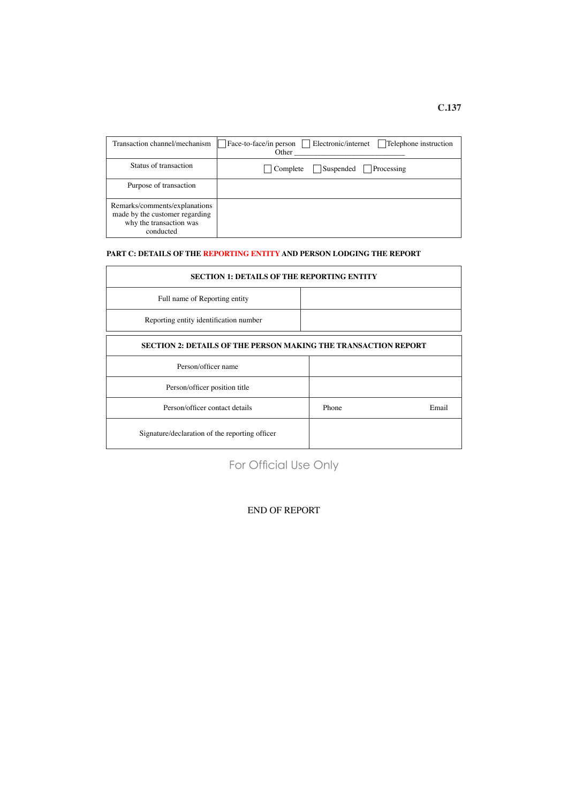| Transaction channel/mechanism                                                                           | Face-to-face/in person   Electronic/internet<br>Telephone instruction<br>Other |
|---------------------------------------------------------------------------------------------------------|--------------------------------------------------------------------------------|
| Status of transaction                                                                                   | Suspended<br>Complete<br>Processing                                            |
| Purpose of transaction                                                                                  |                                                                                |
| Remarks/comments/explanations<br>made by the customer regarding<br>why the transaction was<br>conducted |                                                                                |

## **PART C: DETAILS OF THE REPORTING ENTITY AND PERSON LODGING THE REPORT**

| <b>SECTION 1: DETAILS OF THE REPORTING ENTITY</b>                     |       |       |  |  |  |
|-----------------------------------------------------------------------|-------|-------|--|--|--|
| Full name of Reporting entity                                         |       |       |  |  |  |
| Reporting entity identification number                                |       |       |  |  |  |
| <b>SECTION 2: DETAILS OF THE PERSON MAKING THE TRANSACTION REPORT</b> |       |       |  |  |  |
| Person/officer name                                                   |       |       |  |  |  |
| Person/officer position title                                         |       |       |  |  |  |
| Person/officer contact details                                        | Phone | Email |  |  |  |
| Signature/declaration of the reporting officer                        |       |       |  |  |  |

For Official Use Only

## END OF REPORT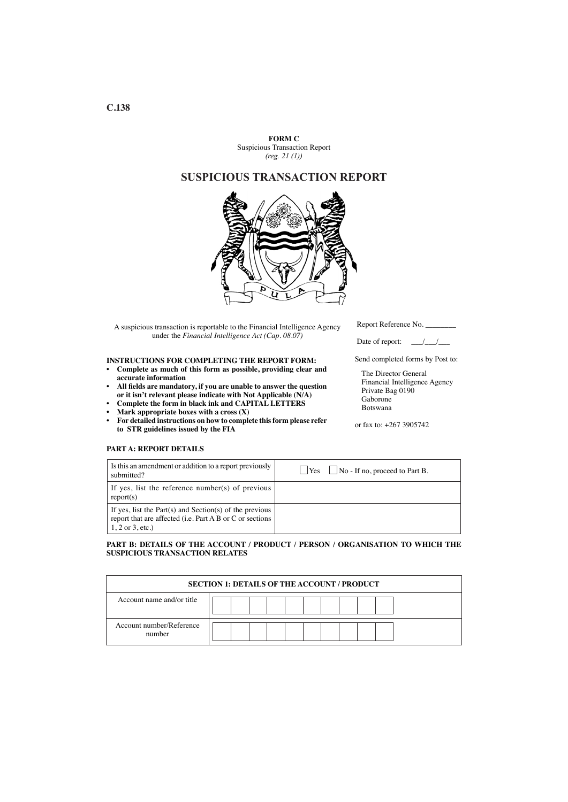**FORM C** Suspicious Transaction Report *(reg. 21 (1))*

# **SUSPICIOUS TRANSACTION REPORT**



A suspicious transaction is reportable to the Financial Intelligence Agency under the *Financial Intelligence Act (Cap. 08.07)*

#### **INSTRUCTIONS FOR COMPLETING THE REPORT FORM:**

- **• Complete as much of this form as possible, providing clear and accurate information**
- **• All felds are mandatory, if you are unable to answer the question or it isn't relevant please indicate with Not Applicable (N/A)**
- **• Complete the form in black ink and CAPITAL LETTERS**
- **Mark** appropriate boxes with a cross  $(X)$
- **• For detailed instructions on how to complete thisform please refer to STR guidelines issued by the FIA**

Report Reference No.

Date of report:  $\frac{\sqrt{1-\lambda}}{\sqrt{1-\lambda}}$ 

Send completed forms by Post to:

The Director General Financial Intelligence Agency Private Bag 0190 Gaborone Botswana

or fax to: +267 3905742

#### **PART A: REPORT DETAILS**

| Is this an amendment or addition to a report previously<br>submitted?                                                                        | $\Box$ No - If no, proceed to Part B.<br>Yes |
|----------------------------------------------------------------------------------------------------------------------------------------------|----------------------------------------------|
| If yes, list the reference number(s) of previous<br>report(s)                                                                                |                                              |
| If yes, list the Part(s) and Section(s) of the previous<br>report that are affected (i.e. Part A B or C or sections<br>$1, 2$ or $3$ , etc.) |                                              |

#### **PART B: DETAILS OF THE ACCOUNT / PRODUCT / PERSON / ORGANISATION TO WHICH THE SUSPICIOUS TRANSACTION RELATES**

| <b>SECTION 1: DETAILS OF THE ACCOUNT / PRODUCT</b> |  |  |  |
|----------------------------------------------------|--|--|--|
| Account name and/or title                          |  |  |  |
| Account number/Reference<br>number                 |  |  |  |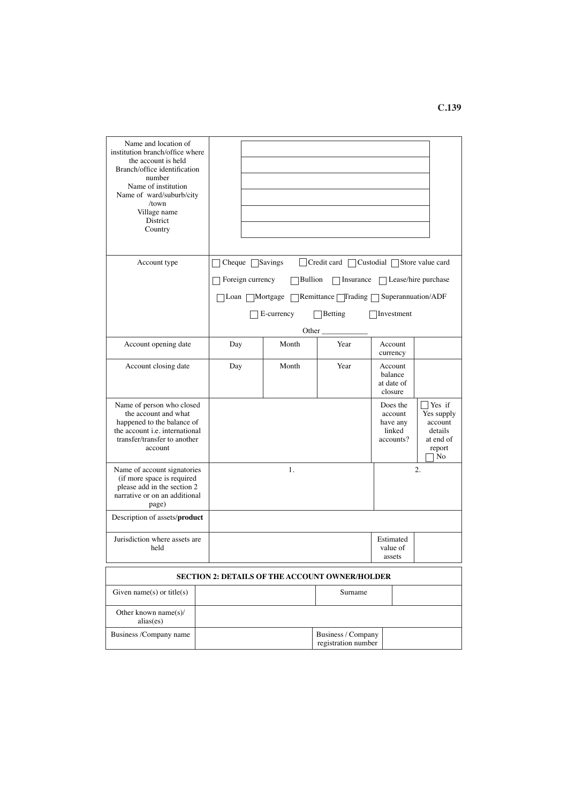| Name and location of<br>institution branch/office where<br>the account is held<br>Branch/office identification<br>number<br>Name of institution<br>Name of ward/suburb/city<br>$/$ town<br>Village name<br>District<br>Country |                  |                |                                                       |                                                        |                                                                         |
|--------------------------------------------------------------------------------------------------------------------------------------------------------------------------------------------------------------------------------|------------------|----------------|-------------------------------------------------------|--------------------------------------------------------|-------------------------------------------------------------------------|
| Account type                                                                                                                                                                                                                   | Cheque           | Savings        | Credit card $\lceil$<br>Custodial                     |                                                        | Store value card                                                        |
|                                                                                                                                                                                                                                | Foreign currency | <b>Bullion</b> | $\Box$ Insurance                                      |                                                        | Lease/hire purchase                                                     |
|                                                                                                                                                                                                                                | Loan [           | Mortgage       | Remittance <i>Trading</i>                             | Superannuation/ADF                                     |                                                                         |
|                                                                                                                                                                                                                                |                  | E-currency     | Betting                                               | Investment                                             |                                                                         |
|                                                                                                                                                                                                                                |                  | Other          |                                                       |                                                        |                                                                         |
| Account opening date                                                                                                                                                                                                           | Day              | Month          | Year                                                  | Account<br>currency                                    |                                                                         |
| Account closing date                                                                                                                                                                                                           | Day              | Month          | Year                                                  | Account<br>balance<br>at date of<br>closure            |                                                                         |
| Name of person who closed<br>the account and what<br>happened to the balance of<br>the account i.e. international<br>transfer/transfer to another<br>account                                                                   |                  |                |                                                       | Does the<br>account<br>have any<br>linked<br>accounts? | Yes if<br>Yes supply<br>account<br>details<br>at end of<br>report<br>No |
| Name of account signatories<br>(if more space is required<br>please add in the section 2<br>narrative or on an additional<br>page)                                                                                             |                  | 1.             |                                                       |                                                        | 2.                                                                      |
| Description of assets/product                                                                                                                                                                                                  |                  |                |                                                       |                                                        |                                                                         |
| Jurisdiction where assets are<br>held                                                                                                                                                                                          |                  |                |                                                       | Estimated<br>value of<br>assets                        |                                                                         |
|                                                                                                                                                                                                                                |                  |                | <b>SECTION 2: DETAILS OF THE ACCOUNT OWNER/HOLDER</b> |                                                        |                                                                         |
| Given name(s) or title(s)                                                                                                                                                                                                      |                  |                | Surname                                               |                                                        |                                                                         |
| Other known name(s)/<br>alias(es)                                                                                                                                                                                              |                  |                |                                                       |                                                        |                                                                         |
| Business /Company name                                                                                                                                                                                                         |                  |                | Business / Company<br>registration number             |                                                        |                                                                         |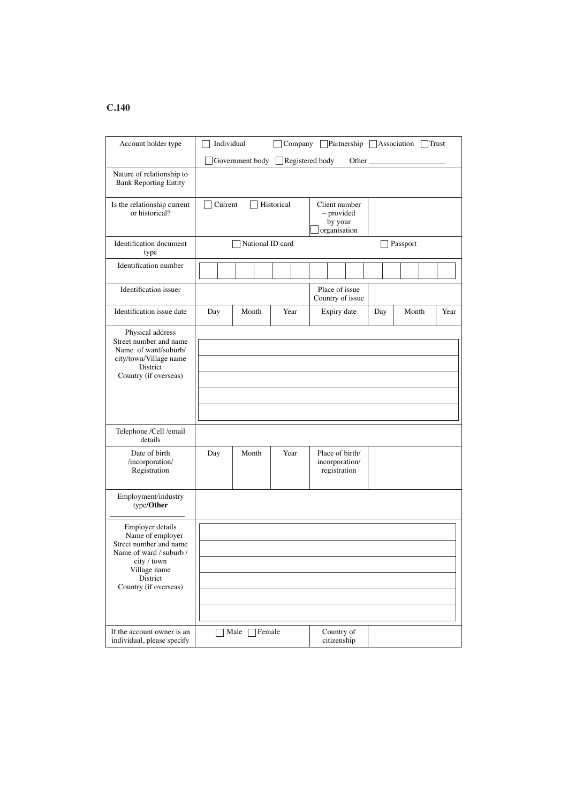| Account holder type                                                                                                                                           | Individual |                    |            |                                                        |                                |     | Company Partnership Association | Trust |
|---------------------------------------------------------------------------------------------------------------------------------------------------------------|------------|--------------------|------------|--------------------------------------------------------|--------------------------------|-----|---------------------------------|-------|
|                                                                                                                                                               |            | Government body    |            | Registered body                                        | Other $\overline{\phantom{a}}$ |     |                                 |       |
| Nature of relationship to<br><b>Bank Reporting Entity</b>                                                                                                     |            |                    |            |                                                        |                                |     |                                 |       |
| Is the relationship current<br>or historical?                                                                                                                 | Current    |                    | Historical | Client number<br>- provided<br>by your<br>organisation |                                |     |                                 |       |
| <b>Identification</b> document<br>type                                                                                                                        |            | National ID card   |            |                                                        |                                |     | Passport                        |       |
| Identification number                                                                                                                                         |            |                    |            |                                                        |                                |     |                                 |       |
| Identification issuer                                                                                                                                         |            |                    |            | Place of issue<br>Country of issue                     |                                |     |                                 |       |
| Identification issue date                                                                                                                                     | Day        | Month              | Year       | Expiry date                                            |                                | Day | Month                           | Year  |
| Physical address<br>Street number and name<br>Name of ward/suburb/<br>city/town/Village name<br>District<br>Country (if overseas)                             |            |                    |            |                                                        |                                |     |                                 |       |
| Telephone /Cell /email<br>details                                                                                                                             |            |                    |            |                                                        |                                |     |                                 |       |
| Date of birth<br>/incorporation/<br>Registration                                                                                                              | Day        | Month              | Year       | Place of birth/<br>incorporation/<br>registration      |                                |     |                                 |       |
| Employment/industry<br>type/Other                                                                                                                             |            |                    |            |                                                        |                                |     |                                 |       |
| Employer details<br>Name of employer<br>Street number and name<br>Name of ward / suburb /<br>city / town<br>Village name<br>District<br>Country (if overseas) |            |                    |            |                                                        |                                |     |                                 |       |
| If the account owner is an<br>individual, please specify                                                                                                      |            | Female<br>Male $ $ |            | Country of<br>citizenship                              |                                |     |                                 |       |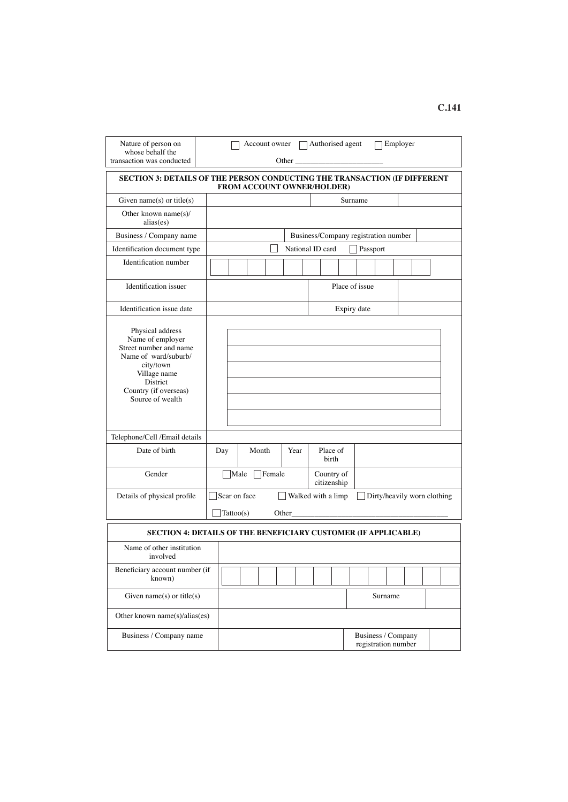| Nature of person on<br>whose behalf the<br>transaction was conducted                                                                                                         |              |                           | Account owner $\Box$ Authorised agent<br>Other and the contract of the contract of the contract of the contract of the contract of the contract of the contract of the contract of the contract of the contract of the contract of the contract of the contract of the |                                      |                           |                |          | Employer                                  |  |  |
|------------------------------------------------------------------------------------------------------------------------------------------------------------------------------|--------------|---------------------------|------------------------------------------------------------------------------------------------------------------------------------------------------------------------------------------------------------------------------------------------------------------------|--------------------------------------|---------------------------|----------------|----------|-------------------------------------------|--|--|
|                                                                                                                                                                              |              |                           |                                                                                                                                                                                                                                                                        |                                      |                           |                |          |                                           |  |  |
| <b>SECTION 3: DETAILS OF THE PERSON CONDUCTING THE TRANSACTION (IF DIFFERENT</b>                                                                                             |              |                           | FROM ACCOUNT OWNER/HOLDER)                                                                                                                                                                                                                                             |                                      |                           |                |          |                                           |  |  |
| Given name(s) or title(s)                                                                                                                                                    |              |                           |                                                                                                                                                                                                                                                                        |                                      |                           | Surname        |          |                                           |  |  |
| Other known name $(s)$ /<br>alias(es)                                                                                                                                        |              |                           |                                                                                                                                                                                                                                                                        |                                      |                           |                |          |                                           |  |  |
| Business / Company name                                                                                                                                                      |              |                           |                                                                                                                                                                                                                                                                        | Business/Company registration number |                           |                |          |                                           |  |  |
| Identification document type                                                                                                                                                 |              |                           | National ID card                                                                                                                                                                                                                                                       |                                      |                           |                | Passport |                                           |  |  |
| Identification number                                                                                                                                                        |              |                           |                                                                                                                                                                                                                                                                        |                                      |                           |                |          |                                           |  |  |
| Identification issuer                                                                                                                                                        |              |                           |                                                                                                                                                                                                                                                                        |                                      |                           | Place of issue |          |                                           |  |  |
| Identification issue date                                                                                                                                                    |              |                           |                                                                                                                                                                                                                                                                        |                                      |                           | Expiry date    |          |                                           |  |  |
| Physical address<br>Name of employer<br>Street number and name<br>Name of ward/suburb/<br>city/town<br>Village name<br>District<br>Country (if overseas)<br>Source of wealth |              |                           |                                                                                                                                                                                                                                                                        |                                      |                           |                |          |                                           |  |  |
| Telephone/Cell /Email details                                                                                                                                                |              |                           |                                                                                                                                                                                                                                                                        |                                      |                           |                |          |                                           |  |  |
| Date of birth                                                                                                                                                                | Day          | Month                     | Year                                                                                                                                                                                                                                                                   |                                      | Place of<br>birth         |                |          |                                           |  |  |
| Gender                                                                                                                                                                       |              | $\Box$ Male $\Box$ Female |                                                                                                                                                                                                                                                                        |                                      | Country of<br>citizenship |                |          |                                           |  |  |
| Details of physical profile                                                                                                                                                  | Scar on face |                           |                                                                                                                                                                                                                                                                        | Walked with a limp                   |                           |                |          | Dirty/heavily worn clothing               |  |  |
|                                                                                                                                                                              | Tattoo(s)    |                           | Other $\_\_$                                                                                                                                                                                                                                                           |                                      |                           |                |          |                                           |  |  |
| SECTION 4: DETAILS OF THE BENEFICIARY CUSTOMER (IF APPLICABLE)                                                                                                               |              |                           |                                                                                                                                                                                                                                                                        |                                      |                           |                |          |                                           |  |  |
| Name of other institution<br>involved                                                                                                                                        |              |                           |                                                                                                                                                                                                                                                                        |                                      |                           |                |          |                                           |  |  |
| Beneficiary account number (if<br>known)                                                                                                                                     |              |                           |                                                                                                                                                                                                                                                                        |                                      |                           |                |          |                                           |  |  |
| Given name(s) or title(s)                                                                                                                                                    |              |                           |                                                                                                                                                                                                                                                                        |                                      |                           |                |          | Surname                                   |  |  |
| Other known name( $s$ )/alias( $es$ )                                                                                                                                        |              |                           |                                                                                                                                                                                                                                                                        |                                      |                           |                |          |                                           |  |  |
| Business / Company name                                                                                                                                                      |              |                           |                                                                                                                                                                                                                                                                        |                                      |                           |                |          | Business / Company<br>registration number |  |  |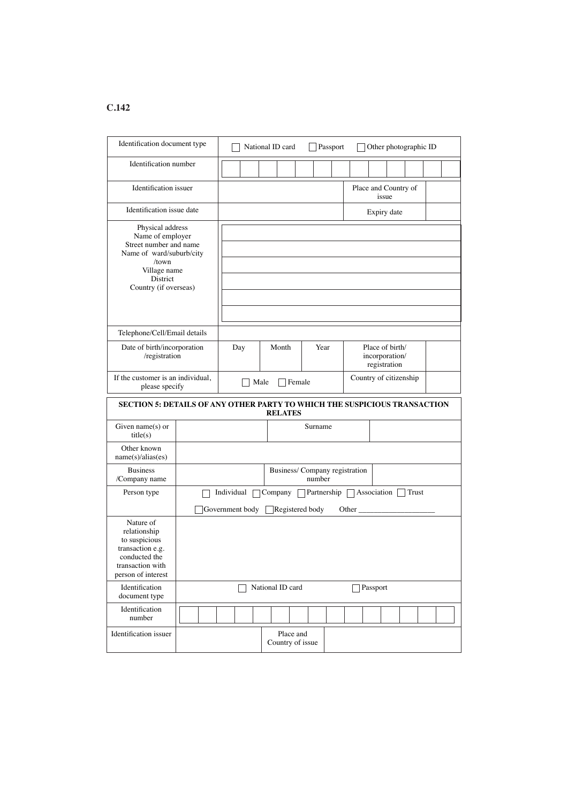| Identification document type                                                                                                                             | Other photographic ID<br>National ID card<br>Passport |                 |                  |                                          |            |                                                   |  |
|----------------------------------------------------------------------------------------------------------------------------------------------------------|-------------------------------------------------------|-----------------|------------------|------------------------------------------|------------|---------------------------------------------------|--|
| Identification number                                                                                                                                    |                                                       |                 |                  |                                          |            |                                                   |  |
| Identification issuer                                                                                                                                    |                                                       |                 |                  |                                          |            | Place and Country of<br>issue                     |  |
| Identification issue date                                                                                                                                |                                                       |                 |                  |                                          |            | Expiry date                                       |  |
| Physical address<br>Name of employer<br>Street number and name<br>Name of ward/suburb/city<br>/town<br>Village name<br>District<br>Country (if overseas) |                                                       |                 |                  |                                          |            |                                                   |  |
| Telephone/Cell/Email details                                                                                                                             |                                                       |                 |                  |                                          |            |                                                   |  |
| Date of birth/incorporation<br>/registration                                                                                                             |                                                       | Day             | Month            | Year                                     |            | Place of birth/<br>incorporation/<br>registration |  |
| If the customer is an individual,<br>please specify                                                                                                      | Country of citizenship<br>Male<br>Female              |                 |                  |                                          |            |                                                   |  |
| SECTION 5: DETAILS OF ANY OTHER PARTY TO WHICH THE SUSPICIOUS TRANSACTION                                                                                |                                                       |                 | <b>RELATES</b>   |                                          |            |                                                   |  |
| Given name $(s)$ or<br>title(s)                                                                                                                          |                                                       |                 |                  | Surname                                  |            |                                                   |  |
| Other known<br>name(s)/alias(es)                                                                                                                         |                                                       |                 |                  |                                          |            |                                                   |  |
| <b>Business</b><br>/Company name                                                                                                                         |                                                       |                 |                  | Business/ Company registration<br>number |            |                                                   |  |
| Person type                                                                                                                                              |                                                       | Individual      | Company          | Partnership Association                  |            | $\vert$ Trust                                     |  |
|                                                                                                                                                          |                                                       | Government body | Registered body  |                                          | Other $\_$ |                                                   |  |
| Nature of<br>relationship<br>to suspicious<br>transaction e.g.<br>conducted the<br>transaction with<br>person of interest                                |                                                       |                 |                  |                                          |            |                                                   |  |
| Identification<br>document type                                                                                                                          |                                                       |                 | National ID card |                                          |            | Passport                                          |  |
| Identification<br>number                                                                                                                                 |                                                       |                 |                  |                                          |            |                                                   |  |
| Identification issuer                                                                                                                                    |                                                       |                 | Place and        |                                          |            |                                                   |  |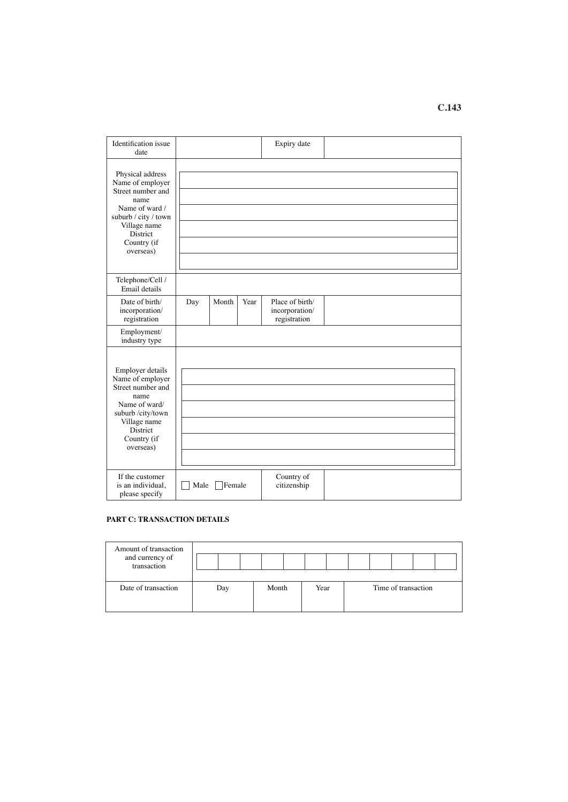Identifcation issue date Expiry date Physical address Name of employer Street number and name Name of ward / suburb / city / town Village name District Country (if overseas) Telephone/Cell / Email details Date of birth/ incorporation/ registration Day | Month | Year | Place of birth/ incorporation/ registration Employment/ industry type Employer details Name of employer Street number and name Name of ward/ suburb /city/town Village name District Country (if overseas) If the customer is an individual, please specify Male Female Country of citizenship

## **PART C: TRANSACTION DETAILS**

| Amount of transaction<br>and currency of<br>transaction |     |       |      |                     |  |
|---------------------------------------------------------|-----|-------|------|---------------------|--|
| Date of transaction                                     | Day | Month | Year | Time of transaction |  |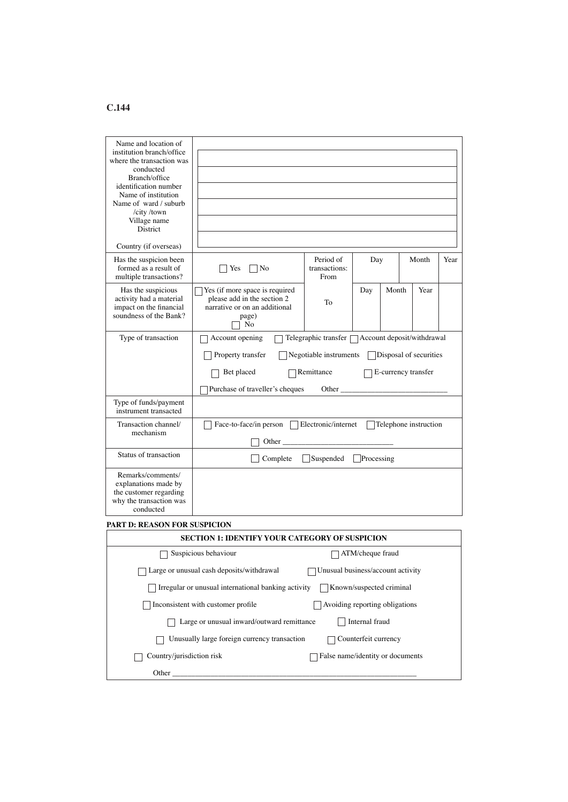| Name and location of<br>institution branch/office<br>where the transaction was<br>conducted<br>Branch/office<br>identification number<br>Name of institution<br>Name of ward / suburb<br>/city/town<br>Village name<br><b>District</b><br>Country (if overseas) |                                                                                                               |                                                   |                          |       |                        |      |
|-----------------------------------------------------------------------------------------------------------------------------------------------------------------------------------------------------------------------------------------------------------------|---------------------------------------------------------------------------------------------------------------|---------------------------------------------------|--------------------------|-------|------------------------|------|
| Has the suspicion been<br>formed as a result of<br>multiple transactions?                                                                                                                                                                                       | No<br>Yes                                                                                                     | Period of<br>transactions:<br>From                | Day                      |       | Month                  | Year |
| Has the suspicious<br>activity had a material<br>impact on the financial<br>soundness of the Bank?                                                                                                                                                              | Yes (if more space is required<br>please add in the section 2<br>narrative or on an additional<br>page)<br>No | To                                                | Day                      | Month | Year                   |      |
| Type of transaction                                                                                                                                                                                                                                             | Account opening                                                                                               | Telegraphic transfer □ Account deposit/withdrawal |                          |       |                        |      |
|                                                                                                                                                                                                                                                                 | Property transfer                                                                                             | Negotiable instruments                            |                          |       | Disposal of securities |      |
|                                                                                                                                                                                                                                                                 | Bet placed                                                                                                    | Remittance                                        |                          |       | E-currency transfer    |      |
|                                                                                                                                                                                                                                                                 | Purchase of traveller's cheques                                                                               | Other $\overline{\phantom{a}}$                    |                          |       |                        |      |
| Type of funds/payment<br>instrument transacted                                                                                                                                                                                                                  |                                                                                                               |                                                   |                          |       |                        |      |
| Transaction channel/<br>mechanism                                                                                                                                                                                                                               | Face-to-face/in person<br>Other                                                                               | Electronic/internet                               |                          |       | Telephone instruction  |      |
| Status of transaction                                                                                                                                                                                                                                           | Complete                                                                                                      | Suspended                                         | Processing               |       |                        |      |
| Remarks/comments/<br>explanations made by<br>the customer regarding<br>why the transaction was<br>conducted                                                                                                                                                     |                                                                                                               |                                                   |                          |       |                        |      |
| <b>PART D: REASON FOR SUSPICION</b>                                                                                                                                                                                                                             |                                                                                                               |                                                   |                          |       |                        |      |
|                                                                                                                                                                                                                                                                 | <b>SECTION 1: IDENTIFY YOUR CATEGORY OF SUSPICION</b>                                                         |                                                   |                          |       |                        |      |
|                                                                                                                                                                                                                                                                 | Suspicious behaviour                                                                                          |                                                   | ATM/cheque fraud         |       |                        |      |
|                                                                                                                                                                                                                                                                 | Large or unusual cash deposits/withdrawal<br>Unusual business/account activity                                |                                                   |                          |       |                        |      |
|                                                                                                                                                                                                                                                                 | Irregular or unusual international banking activity                                                           |                                                   | Known/suspected criminal |       |                        |      |
|                                                                                                                                                                                                                                                                 | Inconsistent with customer profile                                                                            | Avoiding reporting obligations                    |                          |       |                        |      |
|                                                                                                                                                                                                                                                                 | Large or unusual inward/outward remittance                                                                    |                                                   | Internal fraud           |       |                        |      |
|                                                                                                                                                                                                                                                                 | Unusually large foreign currency transaction                                                                  |                                                   | Counterfeit currency     |       |                        |      |
| Country/jurisdiction risk                                                                                                                                                                                                                                       |                                                                                                               | False name/identity or documents                  |                          |       |                        |      |

Other \_\_\_\_\_\_\_\_\_\_\_\_\_\_\_\_\_\_\_\_\_\_\_\_\_\_\_\_\_\_\_\_\_\_\_\_\_\_\_\_\_\_\_\_\_\_\_\_\_\_\_\_\_\_\_\_\_\_\_\_\_\_\_\_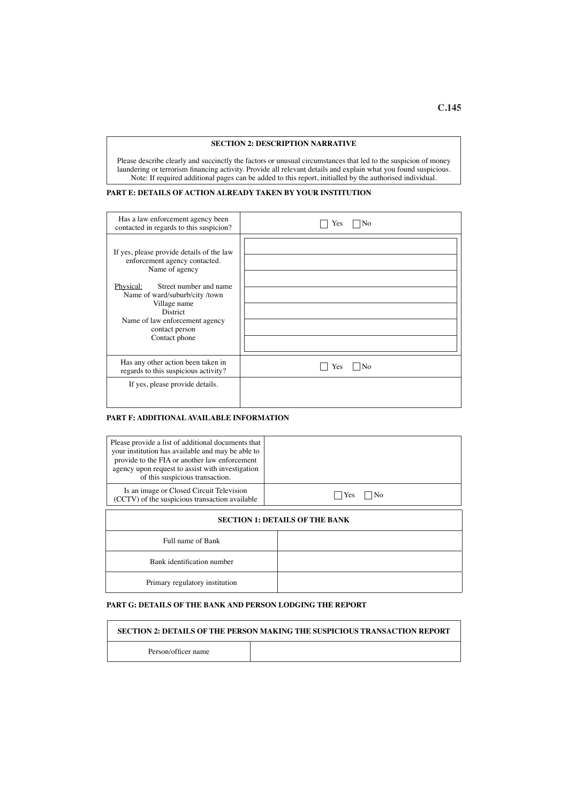#### **SECTION 2: DESCRIPTION NARRATIVE**

Please describe clearly and succinctly the factors or unusual circumstances that led to the suspicion of money laundering or terrorism fnancing activity. Provide all relevant details and explain what you found suspicious. Note: If required additional pages can be added to this report, initialled by the authorised individual.

#### **PART E: DETAILS OF ACTION ALREADY TAKEN BY YOUR INSTITUTION**

| Has a law enforcement agency been<br>contacted in regards to this suspicion?                                                                                                                                                                                                 | No<br>Yes |
|------------------------------------------------------------------------------------------------------------------------------------------------------------------------------------------------------------------------------------------------------------------------------|-----------|
| If yes, please provide details of the law<br>enforcement agency contacted.<br>Name of agency<br>Physical:<br>Street number and name<br>Name of ward/suburb/city/town<br>Village name<br><b>District</b><br>Name of law enforcement agency<br>contact person<br>Contact phone |           |
| Has any other action been taken in<br>regards to this suspicious activity?                                                                                                                                                                                                   | Yes       |
| If yes, please provide details.                                                                                                                                                                                                                                              |           |

#### **PART F: ADDITIONAL AVAILABLE INFORMATION**

| Please provide a list of additional documents that<br>your institution has available and may be able to<br>provide to the FIA or another law enforcement<br>agency upon request to assist with investigation<br>of this suspicious transaction. |                                       |  |  |  |  |  |
|-------------------------------------------------------------------------------------------------------------------------------------------------------------------------------------------------------------------------------------------------|---------------------------------------|--|--|--|--|--|
| Is an image or Closed Circuit Television<br>(CCTV) of the suspicious transaction available                                                                                                                                                      | Yes<br>Nο                             |  |  |  |  |  |
|                                                                                                                                                                                                                                                 | <b>SECTION 1: DETAILS OF THE BANK</b> |  |  |  |  |  |
| Full name of Bank                                                                                                                                                                                                                               |                                       |  |  |  |  |  |
| Bank identification number                                                                                                                                                                                                                      |                                       |  |  |  |  |  |
| Primary regulatory institution                                                                                                                                                                                                                  |                                       |  |  |  |  |  |

## **PART G: DETAILS OF THE BANK AND PERSON LODGING THE REPORT**

|                     | <b>SECTION 2: DETAILS OF THE PERSON MAKING THE SUSPICIOUS TRANSACTION REPORT</b> |
|---------------------|----------------------------------------------------------------------------------|
| Person/officer name |                                                                                  |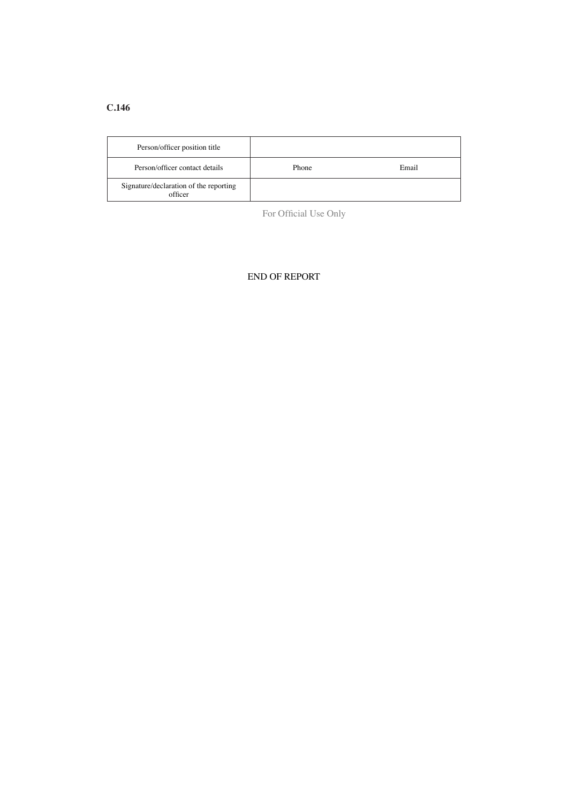| Person/officer position title                     |       |       |
|---------------------------------------------------|-------|-------|
| Person/officer contact details                    | Phone | Email |
| Signature/declaration of the reporting<br>officer |       |       |

For Official Use Only

## END OF REPORT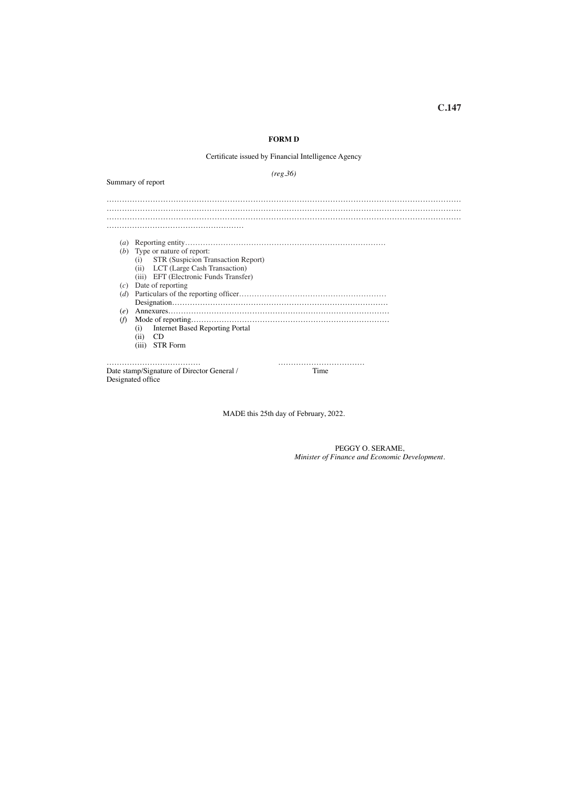#### **FORM D**

#### Certifcate issued by Financial Intelligence Agency

*(reg.36)*

Summary of report

………………………………………………………………………………………………………………………… ………………………………………………………………………………………………………………………… ………………………………………………………………………………………………………………………… ……………………………………………… (*a*) Reporting entity……………………………………………………………………. (*b*) Type or nature of report: (i) STR (Suspicion Transaction Report) (ii) LCT (Large Cash Transaction) (iii) EFT (Electronic Funds Transfer) (*c*) Date of reporting (*d*) Particulars of the reporting offcer…………………………………………………. Designation…………………………………………………………………………. (*e*) Annexures…………………………………………………………………………… (*f*) Mode of reporting…………………………………………………………………… (i) Internet Based Reporting Portal (ii) CD (iii) STR Form ………………………………. ……………………………. Date stamp/Signature of Director General / Designated office

MADE this 25th day of February, 2022.

PEGGY O. SERAME, *Minister of Finance and Economic Development.*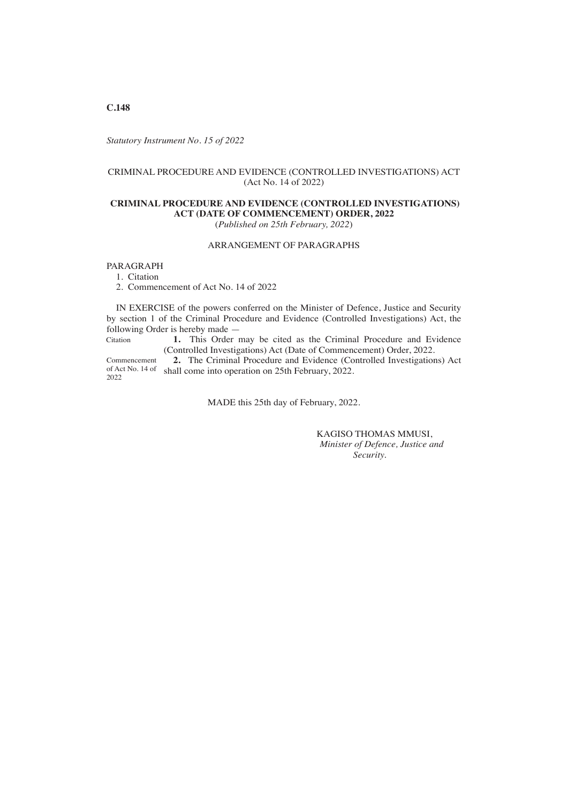*Statutory Instrument No. 15 of 2022*

## CRIMINAL PROCEDURE AND EVIDENCE (CONTROLLED INVESTIGATIONS) ACT (Act No. 14 of 2022)

#### **CRIMINAL PROCEDURE AND EVIDENCE (CONTROLLED INVESTIGATIONS) ACT (DATE OF COMMENCEMENT) ORDER, 2022** (*Published on 25th February, 2022*)

### ARRANGEMENT OF PARAGRAPHS

#### PARAGRAPH

1. Citation

2. Commencement of Act No. 14 of 2022

IN EXERCISE of the powers conferred on the Minister of Defence, Justice and Security by section 1 of the Criminal Procedure and Evidence (Controlled Investigations) Act, the following Order is hereby made —

**1.** This Order may be cited as the Criminal Procedure and Evidence (Controlled Investigations) Act (Date of Commencement) Order, 2022. Citation

**2.** The Criminal Procedure and Evidence (Controlled Investigations) Act of Act No. 14 of shall come into operation on 25th February, 2022. Commencement 2022

MADE this 25th day of February, 2022.

 KAGISO THOMAS MMUSI, *Minister of Defence, Justice and Security.*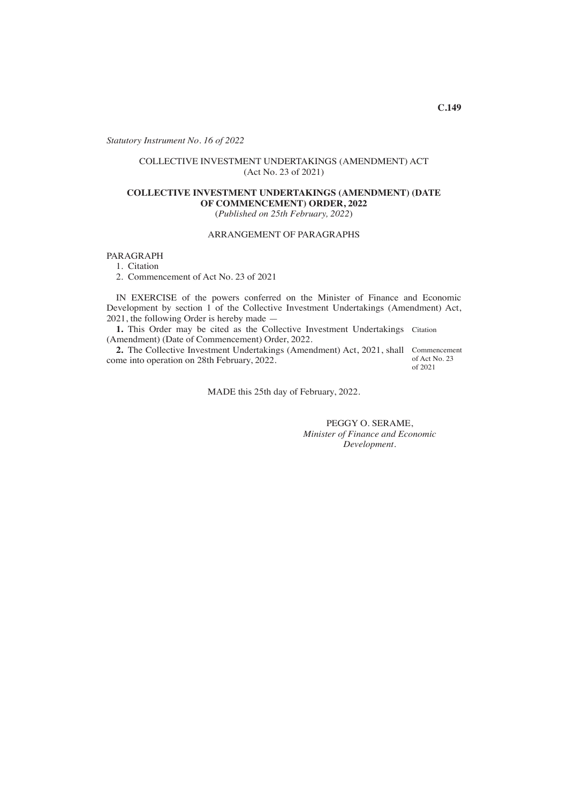*Statutory Instrument No. 16 of 2022*

## COLLECTIVE INVESTMENT UNDERTAKINGS (AMENDMENT) ACT (Act No. 23 of 2021)

## **COLLECTIVE INVESTMENT UNDERTAKINGS (AMENDMENT) (DATE OF COMMENCEMENT) ORDER, 2022**

(*Published on 25th February, 2022*)

## ARRANGEMENT OF PARAGRAPHS

PARAGRAPH

1. Citation

2. Commencement of Act No. 23 of 2021

IN EXERCISE of the powers conferred on the Minister of Finance and Economic Development by section 1 of the Collective Investment Undertakings (Amendment) Act, 2021, the following Order is hereby made —

1. This Order may be cited as the Collective Investment Undertakings Citation (Amendment) (Date of Commencement) Order, 2022.

2. The Collective Investment Undertakings (Amendment) Act, 2021, shall Commencement come into operation on 28th February, 2022.

of Act No. 23 of 2021

MADE this 25th day of February, 2022.

PEGGY O. SERAME, *Minister of Finance and Economic Development*.